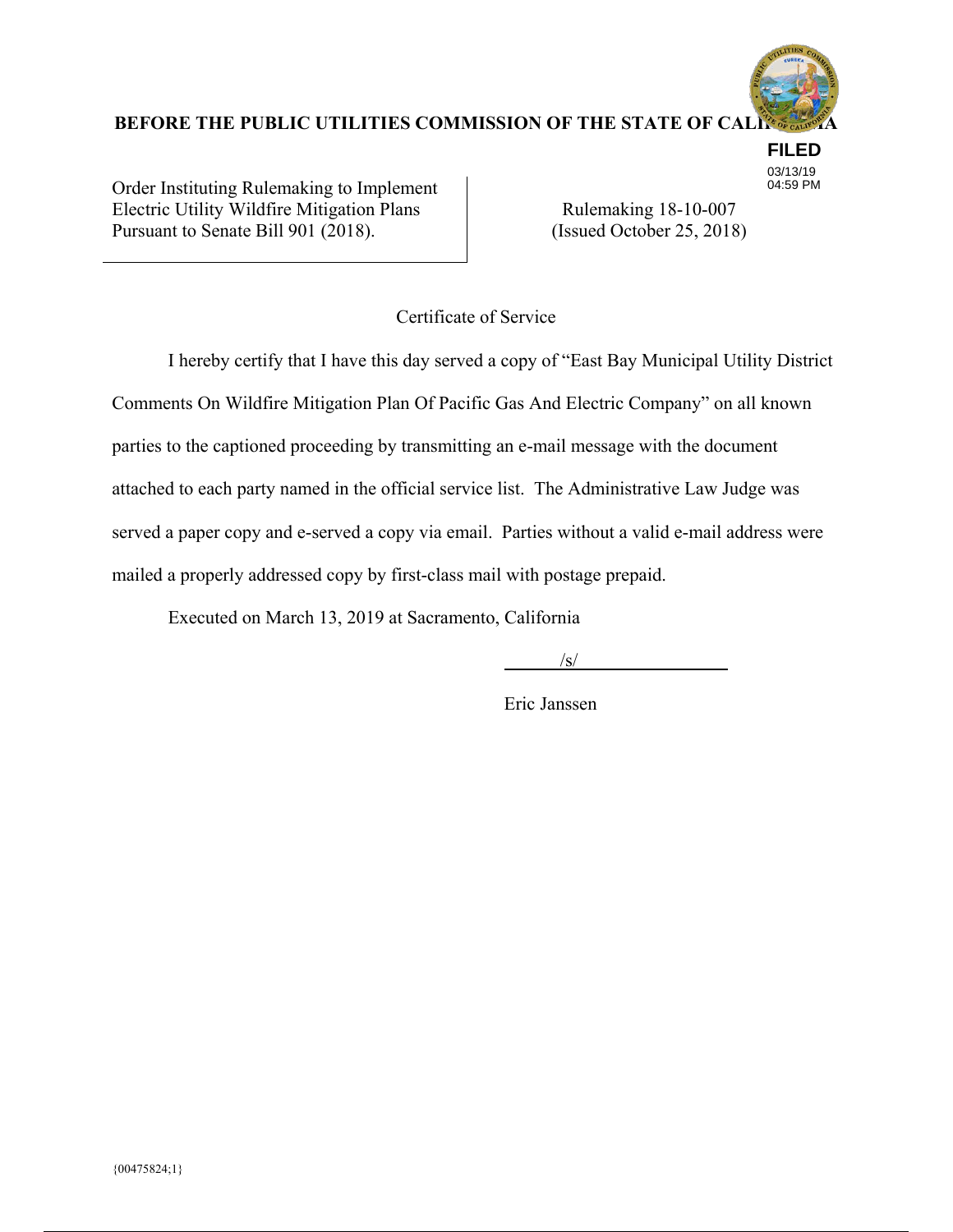

**FILED** 03/13/19 04:59 PM

BEFORE THE PUBLIC UTILITIES COMMISSION OF THE STATE OF CAL<sup>1</sup>

Order Instituting Rulemaking to Implement Electric Utility Wildfire Mitigation Plans Pursuant to Senate Bill 901 (2018).

Rulemaking 18-10-007 (Issued October 25, 2018)

Certificate of Service

 I hereby certify that I have this day served a copy of "East Bay Municipal Utility District Comments On Wildfire Mitigation Plan Of Pacific Gas And Electric Company" on all known parties to the captioned proceeding by transmitting an e-mail message with the document attached to each party named in the official service list. The Administrative Law Judge was served a paper copy and e-served a copy via email. Parties without a valid e-mail address were mailed a properly addressed copy by first-class mail with postage prepaid.

Executed on March 13, 2019 at Sacramento, California

 $\frac{1}{\sqrt{S}}$ 

Eric Janssen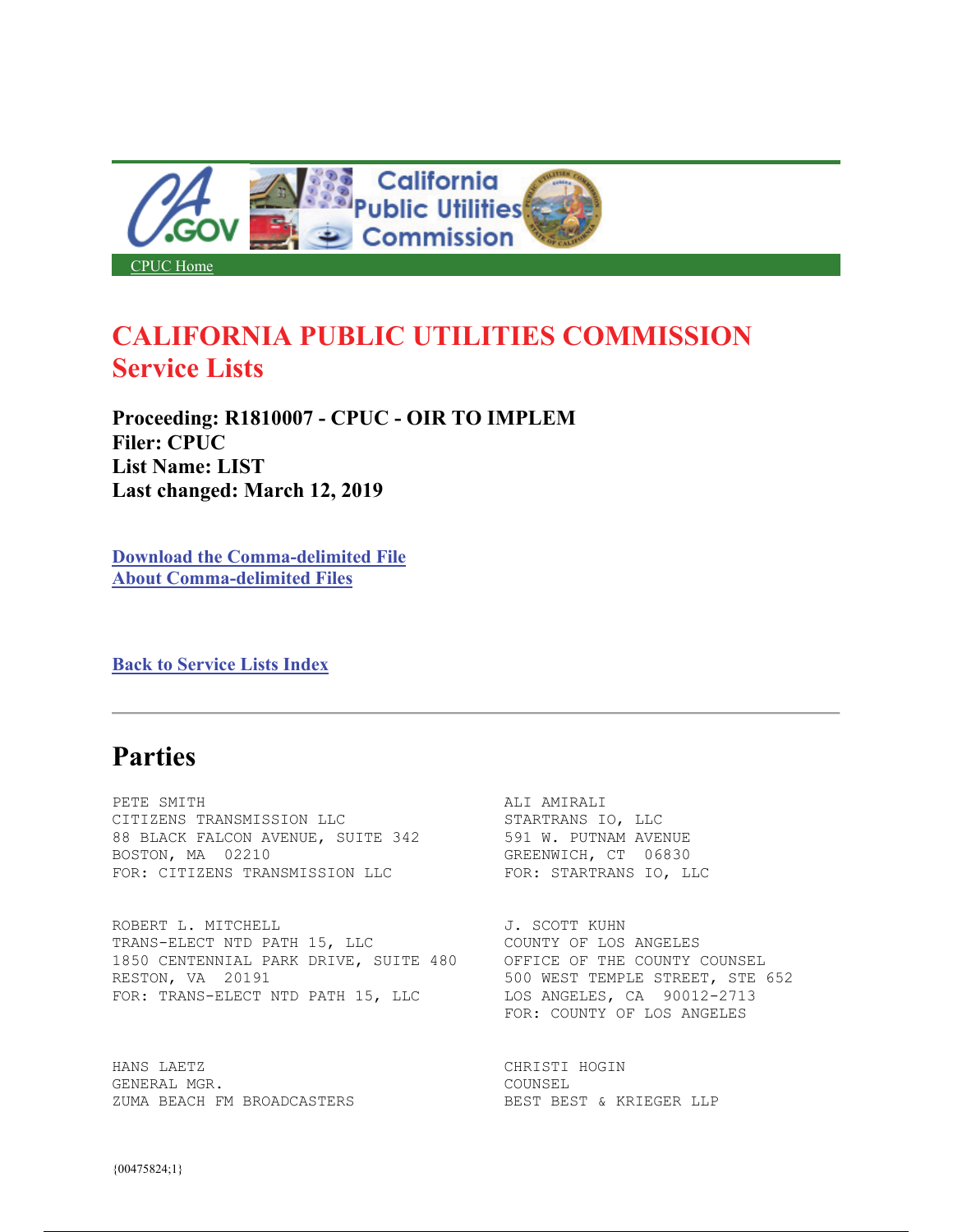

# **CALIFORNIA PUBLIC UTILITIES COMMISSION Service Lists**

**Proceeding: R1810007 - CPUC - OIR TO IMPLEM Filer: CPUC List Name: LIST Last changed: March 12, 2019** 

**Download the Comma-delimited File About Comma-delimited Files** 

**Back to Service Lists Index** 

# **Parties**

PETE SMITH **ALI AMIRALI** CITIZENS TRANSMISSION LLC STARTRANS IO, LLC 88 BLACK FALCON AVENUE, SUITE 342 591 W. PUTNAM AVENUE<br>BOSTON, MA 02210 50510 6REENWICH, CT FOR: CITIZENS TRANSMISSION LLC

ROBERT L. MITCHELL J. SCOTT KUHN TRANS-ELECT NTD PATH 15, LLC 1850 CENTENNIAL PARK DRIVE, SUITE 480 OFFICE OF THE COUNTY COUNSEL RESTON, VA 20191 652 STREET, STE 652 FOR: TRANS-ELECT NTD PATH 15, LLC LOS ANGELES, CA 90012-2713

HANS LAETZ SERIES AND STRUCHT CHRISTI HOGIN GENERAL MGR. COUNSEL ZUMA BEACH FM BROADCASTERS BEST BEST BEST & KRIEGER LLP

GREENWICH, CT 06830<br>FOR: STARTRANS IO, LLC

FOR: COUNTY OF LOS ANGELES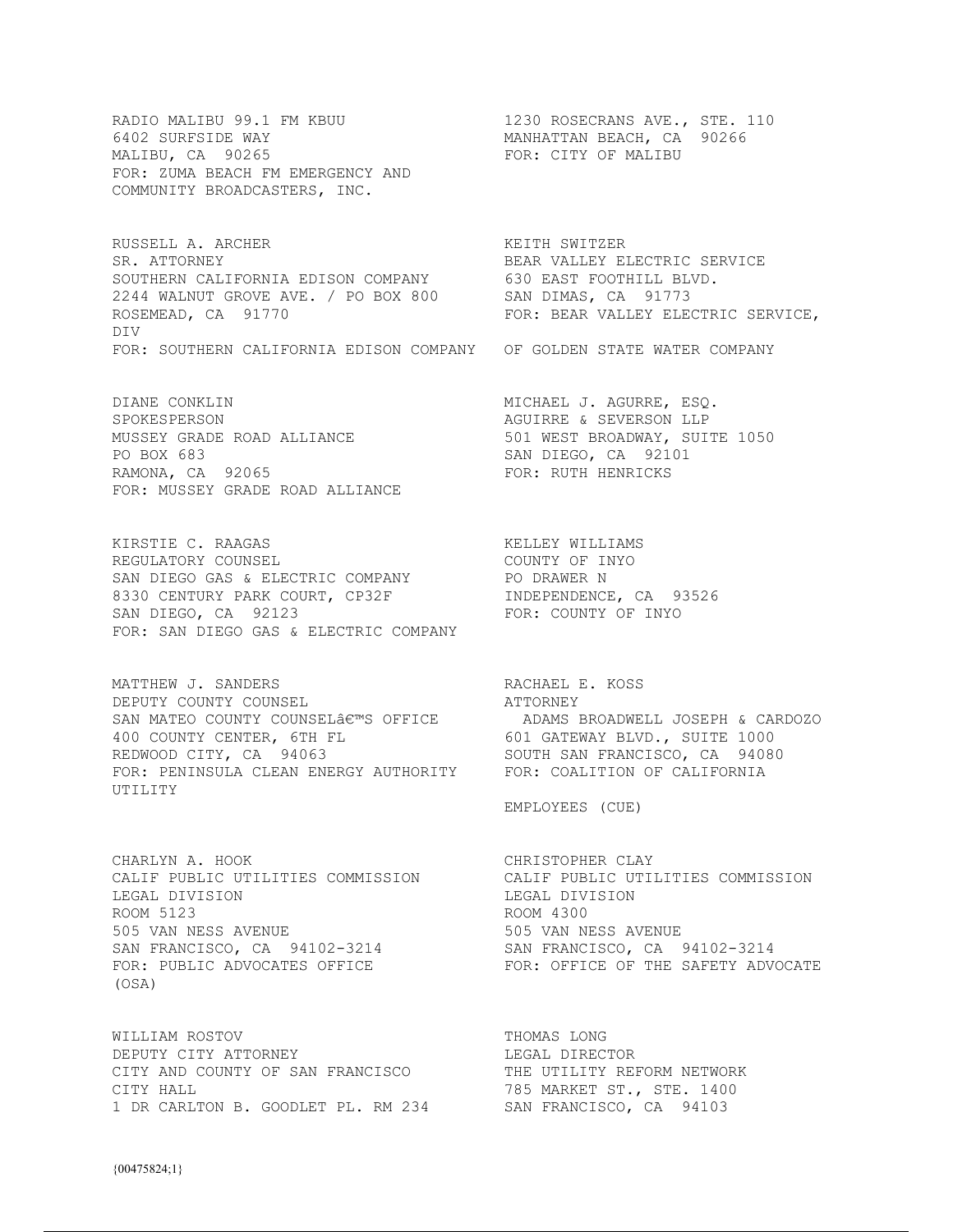RADIO MALIBU 99.1 FM KBUU 1230 ROSECRANS AVE., STE. 110<br>6402 SURFSIDE WAY 1230 MANHATTAN BEACH, CA 90266 6402 SURFSIDE WAY **MANHATTAN BEACH, CA** 90266 MALIBU, CA 90265 FOR: ZUMA BEACH FM EMERGENCY AND COMMUNITY BROADCASTERS, INC.

RUSSELL A. ARCHER **KEITH SWITZER** SR. ATTORNEY **BEAR VALLEY ELECTRIC SERVICE** SOUTHERN CALIFORNIA EDISON COMPANY 630 EAST FOOTHILL BLVD. 2244 WALNUT GROVE AVE. / PO BOX 800 SAN DIMAS, CA 91773 ROSEMEAD, CA 91770 **FOR: BEAR VALLEY ELECTRIC SERVICE**, DIV FOR: SOUTHERN CALIFORNIA EDISON COMPANY OF GOLDEN STATE WATER COMPANY

DIANE CONKLIN MICHAEL J. AGURRE, ESQ. SPOKESPERSON AGUIRRE & SEVERSON LLP PO BOX 683 SAN DIEGO, CA 92101 RAMONA, CA 92065 FOR: RUTH HENRICKS FOR: MUSSEY GRADE ROAD ALLIANCE

KIRSTIE C. RAAGAS KELLEY WILLIAMS REGULATORY COUNSEL **Example 2018** COUNTY OF INYO SAN DIEGO GAS & ELECTRIC COMPANY **PO DRAWER N** 8330 CENTURY PARK COURT, CP32F INDEPENDENCE, CA 93526 SAN DIEGO, CA 92123 FOR: COUNTY OF INYO FOR: SAN DIEGO GAS & ELECTRIC COMPANY

MATTHEW J. SANDERS RACHAEL E. KOSS DEPUTY COUNTY COUNSEL DEPUTY COUNTY COUNSEL SAN MATEO COUNTY COUNSELÂ $\epsilon^{\mathfrak{m}}$ S OFFICE ADAMS BROADWELL JOSEPH & CARDOZO 400 COUNTY CENTER, 6TH FL 601 GATEWAY BLVD., SUITE 1000 SAN MATEO COUNTY COUNSELAE<sup>1</sup>'S UPPLUE (ALLE ALLE LIGE 2000)<br>
REDWOOD CITY, CA 94063 SOUTH SAN FRANCISCO, CA 94080<br>
REDWOOD CITY, CA 94063 SOUTH SAN FRANCISCO, CA 94080 FOR: PENINSULA CLEAN ENERGY AUTHORITY FOR: COALITION OF CALIFORNIA UTILITY

CHARLYN A. HOOK CHARLYN CHRISTOPHER CLAY LEGAL DIVISION DEGAL DIVISION ROOM 5123 ROOM 5123<br>505 VAN NESS AVENUE 505 VAN NESS AVENUE 505 VAN NESS AVENUE SAN FRANCISCO, CA 94102-3214 SAN FRANCISCO, CA 94102-3214 FOR: PUBLIC ADVOCATES OFFICE FOR: OFFICE OF THE SAFETY ADVOCATE (OSA)

WILLIAM ROSTOV **THOMAS LONG** DEPUTY CITY ATTORNEY LEGAL DIRECTOR CITY AND COUNTY OF SAN FRANCISCO THE UTILITY REFORM NETWORK CITY HALL **The CONSTRUCT ST., STE. 1400** 1 DR CARLTON B. GOODLET PL. RM 234 SAN FRANCISCO, CA 94103

FOR: CITY OF MALIBU

501 WEST BROADWAY, SUITE 1050

EMPLOYEES (CUE)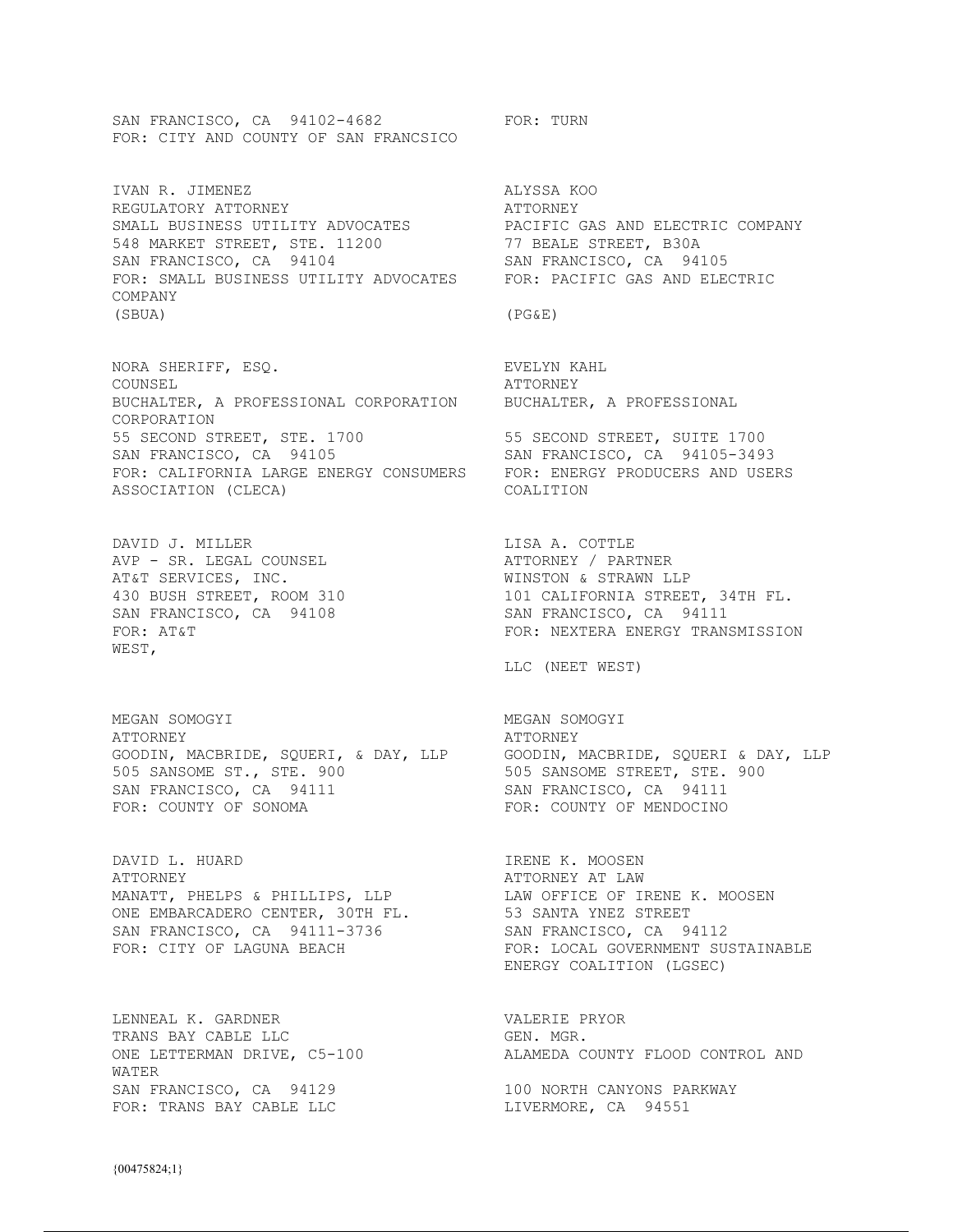SAN FRANCISCO, CA 94102-4682 FOR: TURN FOR: CITY AND COUNTY OF SAN FRANCSICO

IVAN R. JIMENEZ **ALYSSA KOO** REGULATORY ATTORNEY **ATTORNEY** SMALL BUSINESS UTILITY ADVOCATES PACIFIC GAS AND ELECTRIC COMPANY 548 MARKET STREET, STE. 11200 77 BEALE STREET, B30A SAN FRANCISCO, CA 94104 SAN FRANCISCO, CA 94105 FOR: SMALL BUSINESS UTILITY ADVOCATES FOR: PACIFIC GAS AND ELECTRIC COMPANY (SBUA) (PG&E)

NORA SHERIFF, ESQ. THE REVELYN KAHL COUNSEL ATTORNEY BUCHALTER, A PROFESSIONAL CORPORATION BUCHALTER, A PROFESSIONAL CORPORATION 55 SECOND STREET, STE. 1700 55 SECOND STREET, SUITE 1700 SAN FRANCISCO, CA 94105 SAN FRANCISCO, CA 94105-3493 FOR: CALIFORNIA LARGE ENERGY CONSUMERS FOR: ENERGY PRODUCERS AND USERS ASSOCIATION (CLECA) COALITION

DAVID J. MILLER **LISA A. COTTLE** AVP - SR. LEGAL COUNSEL ATTORNEY / PARTNER AT&T SERVICES, INC. THE SERVICES ON THE MINSTON & STRAWN LLP WEST,

MEGAN SOMOGYI MEGAN SOMOGYI ATTORNEY ATTORNEY GOODIN, MACBRIDE, SQUERI, & DAY, LLP GOODIN, MACBRIDE, SQUERI & DAY, LLP 505 SANSOME ST., STE. 900 505 SANSOME STREET, STE. 900 SAN FRANCISCO, CA 94111 SAN FRANCISCO, CA 94111 FOR: COUNTY OF SONOMA FOR: COUNTY OF MENDOCINO

DAVID L. HUARD **IRENE K. MOOSEN** ATTORNEY ATTORNEY AT LAW MANATT, PHELPS & PHILLIPS, LLP LAW OFFICE OF IRENE K. MOOSEN ONE EMBARCADERO CENTER, 30TH FL. 53 SANTA YNEZ STREET SAN FRANCISCO, CA 94111-3736 SAN FRANCISCO, CA 94112

LENNEAL K. GARDNER VALERIE PRYOR TRANS BAY CABLE LLC GEN. MGR. WATER SAN FRANCISCO, CA 94129 100 NORTH CANYONS PARKWAY FOR: TRANS BAY CABLE LLC LIVERMORE, CA 94551

430 BUSH STREET, ROOM 310 101 CALIFORNIA STREET, 34TH FL. SAN FRANCISCO, CA 94108 SAN FRANCISCO, CA 94111 FOR: AT&T FOR: NEXTERA ENERGY TRANSMISSION

LLC (NEET WEST)

FOR: CITY OF LAGUNA BEACH FOR: LOCAL GOVERNMENT SUSTAINABLE ENERGY COALITION (LGSEC)

ONE LETTERMAN DRIVE, C5-100 **ALAMEDA COUNTY FLOOD CONTROL AND**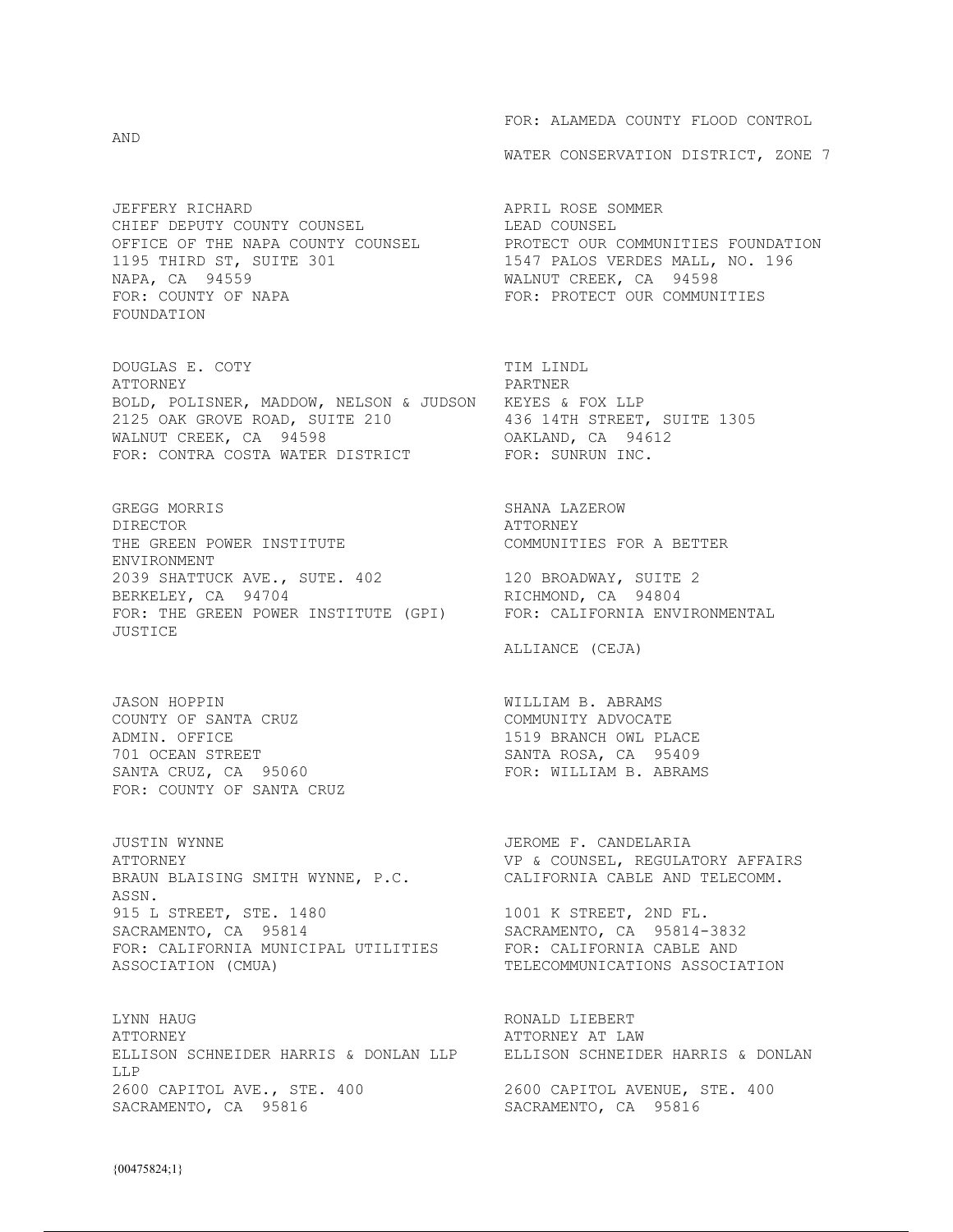AND

JEFFERY RICHARD **APRIL ROSE** SOMMER CHIEF DEPUTY COUNTY COUNSEL LEAD COUNSEL 1195 THIRD ST, SUITE 301 1547 PALOS VERDES MALL, NO. 196 NAPA, CA 94559 MALNUT CREEK, CA 94598 FOR: COUNTY OF NAPA FOR: PROTECT OUR COMMUNITIES FOUNDATION

DOUGLAS E. COTY TIM LINDL ATTORNEY PARTNER BOLD, POLISNER, MADDOW, NELSON & JUDSON KEYES & FOX LLP 2125 OAK GROVE ROAD, SUITE 210 436 14TH STREET, SUITE 1305<br>WALNUT CREEK, CA 94598 60AKLAND, CA 94612 WALNUT CREEK, CA 94598 FOR: CONTRA COSTA WATER DISTRICT FOR: SUNRUN INC.

GREGG MORRIS SHANA LAZEROW DIRECTOR<br>THE GREEN POWER INSTITUTE THE GOMMUNITIES FOR A BETTER THE GREEN POWER INSTITUTE ENVIRONMENT 2039 SHATTUCK AVE., SUTE. 402 120 BROADWAY, SUITE 2 BERKELEY, CA 94704 RICHMOND, CA 94804 FOR: THE GREEN POWER INSTITUTE (GPI) FOR: CALIFORNIA ENVIRONMENTAL JUSTICE

JASON HOPPIN WILLIAM B. ABRAMS COUNTY OF SANTA CRUZ COMMUNITY ADVOCATE ADMIN. OFFICE COMMUNITY ADVOCATE 701 OCEAN STREET<br>
SANTA CRUZ, CA 95060<br>
SANTA CRUZ, CA 95060 SANTA CRUZ, CA  $95060$ FOR: COUNTY OF SANTA CRUZ

JUSTIN WYNNE JEROME F. CANDELARIA ATTORNEY VP & COUNSEL, REGULATORY AFFAIRS BRAUN BLAISING SMITH WYNNE, P.C. CALIFORNIA CABLE AND TELECOMM. ASSN. 915 L STREET, STE. 1480 1001 K STREET, 2ND FL. SACRAMENTO, CA 95814 SACRAMENTO, CA 95814-3832 FOR: CALIFORNIA MUNICIPAL UTILITIES FOR: CALIFORNIA MUNICIPAL UTILITIES FOR: CALIFORNIA CABLE AND<br>ASSOCIATION (CMUA) TELECOMMUNICATIONS ASSOCIATION

LYNN HAUG **RONALD LIEBERT** ATTORNEY AT LAW ATTORNEY AT LAW ATTORNEY AT LAW THAT SCHNEIDER HARRIS & DONLAN ELLISON SCHNEIDER HARRIS & DONLAN LLP LLP 2600 CAPITOL AVE., STE. 400<br>
SACRAMENTO, CA 95816<br>
SACRAMENTO, CA 95816<br>
SACRAMENTO, CA 95816

FOR: ALAMEDA COUNTY FLOOD CONTROL

WATER CONSERVATION DISTRICT, ZONE 7

OFFICE OF THE NAPA COUNTY COUNSEL PROTECT OUR COMMUNITIES FOUNDATION

ALLIANCE (CEJA)

1519 BRANCH OWL PLACE

SACRAMENTO, CA 95816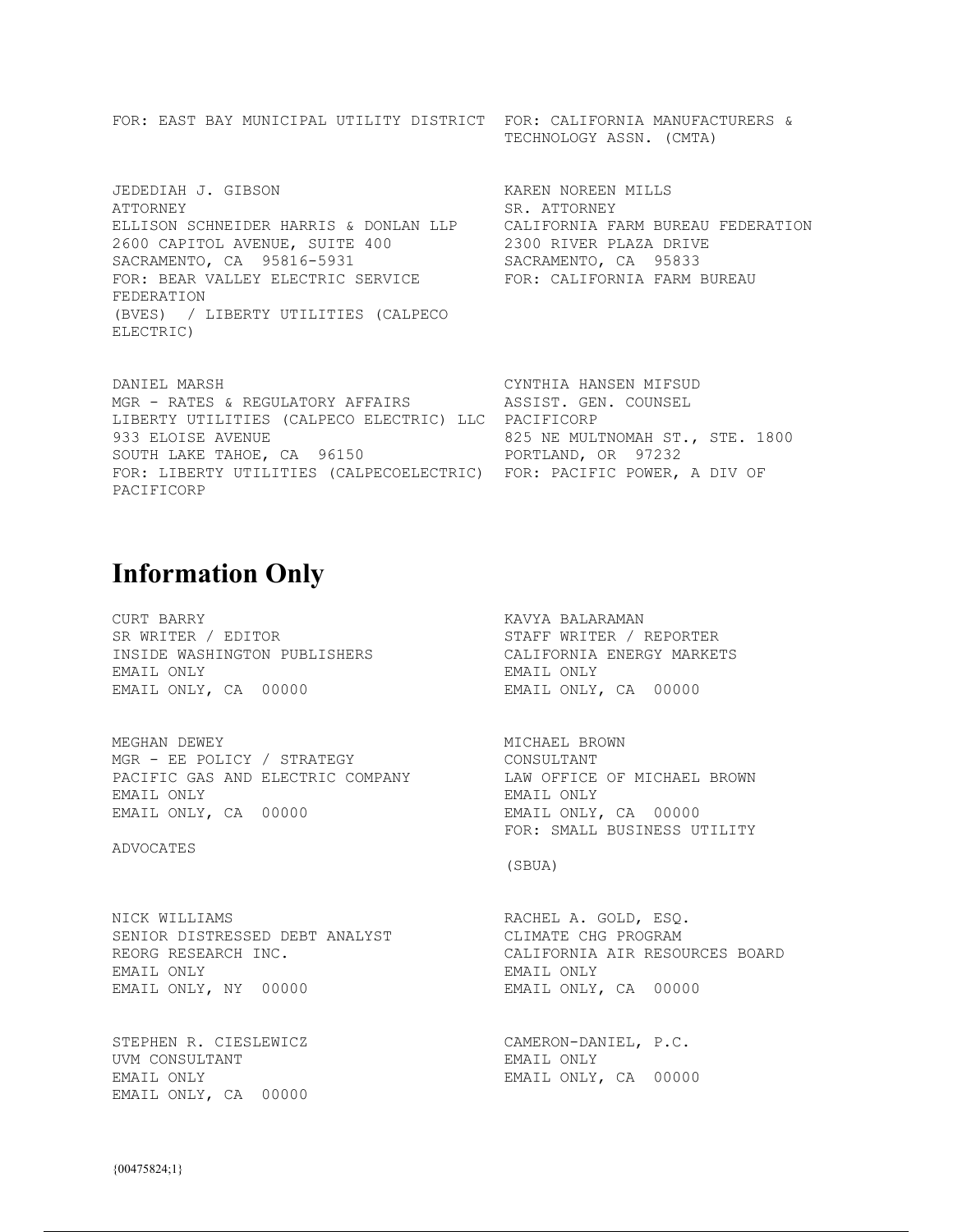FOR: EAST BAY MUNICIPAL UTILITY DISTRICT FOR: CALIFORNIA MANUFACTURERS & TECHNOLOGY ASSN. (CMTA)

JEDEDIAH J. GIBSON KAREN NOREEN MILLS ATTORNEY SR. ATTORNEY ELLISON SCHNEIDER HARRIS & DONLAN LLP CALIFORNIA FARM BUREAU FEDERATION 2600 CAPITOL AVENUE, SUITE 400 2300 RIVER PLAZA DRIVE SACRAMENTO, CA 95816-5931 SACRAMENTO, CA 95833 FOR: BEAR VALLEY ELECTRIC SERVICE FOR: CALIFORNIA FARM BUREAU FEDERATION (BVES) / LIBERTY UTILITIES (CALPECO ELECTRIC)

DANIEL MARSH CYNTHIA HANSEN MIFSUD MGR - RATES & REGULATORY AFFAIRS ASSIST. GEN. COUNSEL LIBERTY UTILITIES (CALPECO ELECTRIC) LLC PACIFICORP 933 ELOISE AVENUE **1998** CONSERVENCE 1800 SOUTH LAKE TAHOE, CA 96150 PORTLAND, OR 97232 FOR: LIBERTY UTILITIES (CALPECOELECTRIC) FOR: PACIFIC POWER, A DIV OF PACIFICORP

## **Information Only**

CURT BARRY **KAVYA BALARAMAN** SR WRITER / EDITOR STAFF WRITER / REPORTER INSIDE WASHINGTON PUBLISHERS CALIFORNIA ENERGY MARKETS EMAIL ONLY EMAIL ONLY EMAIL ONLY, CA 00000 EMAIL ONLY, CA 00000

MEGHAN DEWEY<br>
MGR – EE POLICY / STRATEGY<br>
MGR – EE POLICY / STRATEGY<br>
MGR – EE POLICY / STRATEGY MGR - EE POLICY / STRATEGY CONSULTANT PACIFIC GAS AND ELECTRIC COMPANY LAW OFFICE OF MICHAEL BROWN EMAIL ONLY EMAIL ONLY EMAIL ONLY, CA 00000 EMAIL ONLY, CA 00000

ADVOCATES

FOR: SMALL BUSINESS UTILITY

(SBUA)

NICK WILLIAMS RACHEL A. GOLD, ESQ. SENIOR DISTRESSED DEBT ANALYST CLIMATE CHG PROGRAM REORG RESEARCH INC. THE CALIFORNIA AIR RESOURCES BOARD EMAIL ONLY EMAIL ONLY EMAIL ONLY, NY 00000 EMAIL ONLY, CA 00000

STEPHEN R. CIESLEWICZ CAMERON-DANIEL, P.C. UVM CONSULTANT EMAIL ONLY EMAIL ONLY **EMAIL ONLY, CA** 00000 EMAIL ONLY, CA 00000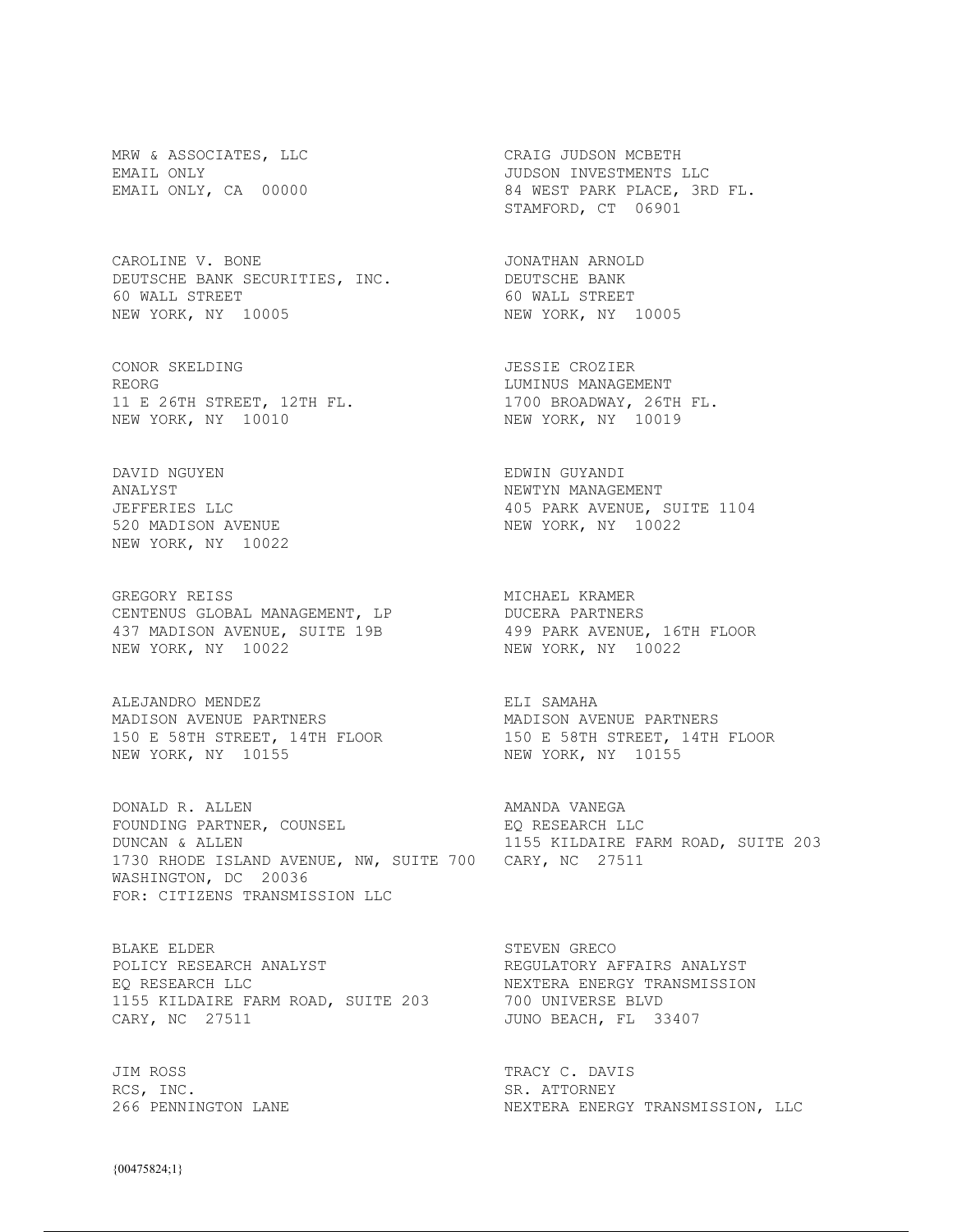MRW & ASSOCIATES, LLC CRAIG JUDSON MCBETH

CAROLINE V. BONE **International CONATHAN ARNOLD** DEUTSCHE BANK SECURITIES, INC. DEUTSCHE BANK BEGISCHE BANK SECONTITIES, INC. BEGISCHE BANK<br>60 WALL STREET 60 WALL STREET NEW YORK, NY 10005 NEW YORK, NY 10005

CONOR SKELDING JESSIE CROZIER REORG REORG RESOLUTION OF THE SERVICE OF THE LUMINUS MANAGEMENT 11 E 26TH STREET, 12TH FL. 1700 BROADWAY, 26TH FL. NEW YORK, NY 10010 NEW YORK, NY 10019

DAVID NGUYEN EDWIN GUYANDI ANALYST NEWTYN MANAGEMENT 520 MADISON AVENUE NEW YORK, NY 10022

GREGORY REISS **MICHAEL KRAMER** CENTENUS GLOBAL MANAGEMENT, LP DUCERA PARTNERS 437 MADISON AVENUE, SUITE 19B 499 PARK AVENUE, 16TH FLOOR NEW YORK, NY 10022 NEW YORK, NY 10022

ALEJANDRO MENDEZ **ELI SAMAHA** MADISON AVENUE PARTNERS MADISON AVENUE PARTNERS 150 E 58TH STREET, 14TH FLOOR 150 E 58TH STREET, 14TH FLOOR NEW YORK, NY 10155 NEW YORK, NY 10155

DONALD R. ALLEN AMANDA VANEGA FOUNDING PARTNER, COUNSEL EQ RESEARCH LLC DUNCAN & ALLEN 1155 KILDAIRE FARM ROAD, SUITE 203 1730 RHODE ISLAND AVENUE, NW, SUITE 700 CARY, NC 27511 WASHINGTON, DC 20036 FOR: CITIZENS TRANSMISSION LLC

BLAKE ELDER STEVEN GRECO POLICY RESEARCH ANALYST **REGULATORY AFFAIRS ANALYST** EQ RESEARCH LLC **NEXTERA ENERGY TRANSMISSION** 1155 KILDAIRE FARM ROAD, SUITE 203 700 UNIVERSE BLVD<br>1155 KILDAIRE FARM ROAD, SUITE 203 700 UNIVERSE BLVD CARY, NC 27511 CARY, NC 27511

JIM ROSS TRACY C. DAVIS RCS, INC. SR. ATTORNEY

EMAIL ONLY JUDSON INVESTMENTS LLC EMAIL ONLY, CA 00000 84 WEST PARK PLACE, 3RD FL. STAMFORD, CT 06901

JEFFERIES LLC<br>520 MADISON AVENUE COMPUTE SOMEWORK, NY 10022

NEXTERA ENERGY TRANSMISSION, LLC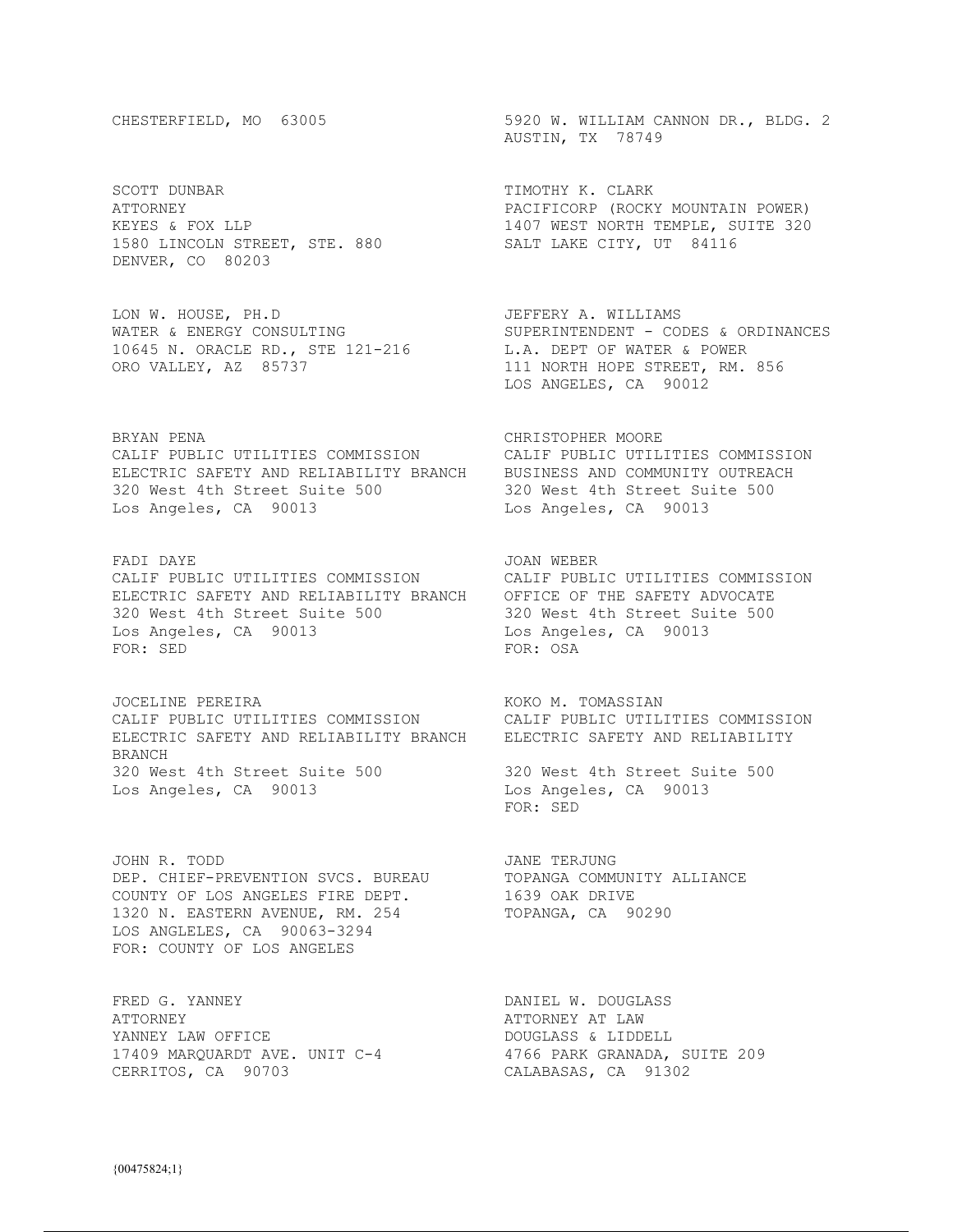SCOTT DUNBAR **TIMOTHY K. CLARK** 1580 LINCOLN STREET, STE. 880 SALT LAKE CITY, UT 84116 DENVER, CO 80203

LON W. HOUSE, PH.D JEFFERY A. WILLIAMS 10645 N. ORACLE RD., STE 121-216 L.A. DEPT OF WATER & POWER ORO VALLEY, AZ 85737 **111 NORTH HOPE STREET, RM. 856** 

BRYAN PENA CHRISTOPHER MOORE CALIF PUBLIC UTILITIES COMMISSION CALIF PUBLIC UTILITIES COMMISSION ELECTRIC SAFETY AND RELIABILITY BRANCH BUSINESS AND COMMUNITY OUTREACH 320 West 4th Street Suite 500 320 West 4th Street Suite 500 Los Angeles, CA 90013 Los Angeles, CA 90013

FADI DAYE GALLACHER STADI DAYE TARAFIYA SAN MERER CALIF PUBLIC UTILITIES COMMISSION CALIF PUBLIC UTILITIES COMMISSION ELECTRIC SAFETY AND RELIABILITY BRANCH OFFICE OF THE SAFETY ADVOCATE 320 West 4th Street Suite 500 320 West 4th Street Suite 500<br>
Los Angeles, CA 90013 500 320 Los Angeles, CA 90013 Los Angeles, CA 90013 Los Angeles, CA 90013 FOR: SED FOR: OSA

JOCELINE PEREIRA **KOKO M. TOMASSIAN** CALIF PUBLIC UTILITIES COMMISSION CALIF PUBLIC UTILITIES COMMISSION ELECTRIC SAFETY AND RELIABILITY BRANCH ELECTRIC SAFETY AND RELIABILITY BRANCH 320 West 4th Street Suite 500 320 West 4th Street Suite 500 Los Angeles, CA 90013 Los Angeles, CA 90013

JOHN R. TODD **JANE TERJUNG** DEP. CHIEF-PREVENTION SVCS. BUREAU TOPANGA COMMUNITY ALLIANCE COUNTY OF LOS ANGELES FIRE DEPT. 1639 OAK DRIVE 1320 N. EASTERN AVENUE, RM. 254 TOPANGA, CA 90290 LOS ANGLELES, CA 90063-3294 FOR: COUNTY OF LOS ANGELES

FRED G. YANNEY **Example 2** DANIEL W. DOUGLASS ATTORNEY ATTORNEY AT LAW YANNEY LAW OFFICE DOUGLASS & LIDDELL 17409 MARQUARDT AVE. UNIT C-4 4766 PARK GRANADA, SUITE 209 CERRITOS, CA 90703 CALABASAS, CA 91302

CHESTERFIELD, MO 63005 5920 W. WILLIAM CANNON DR., BLDG. 2 AUSTIN, TX 78749

ATTORNEY PACIFICORP (ROCKY MOUNTAIN POWER) KEYES & FOX LLP 1407 WEST NORTH TEMPLE, SUITE 320

WATER & ENERGY CONSULTING SUPERINTENDENT - CODES & ORDINANCES LOS ANGELES, CA 90012

FOR: SED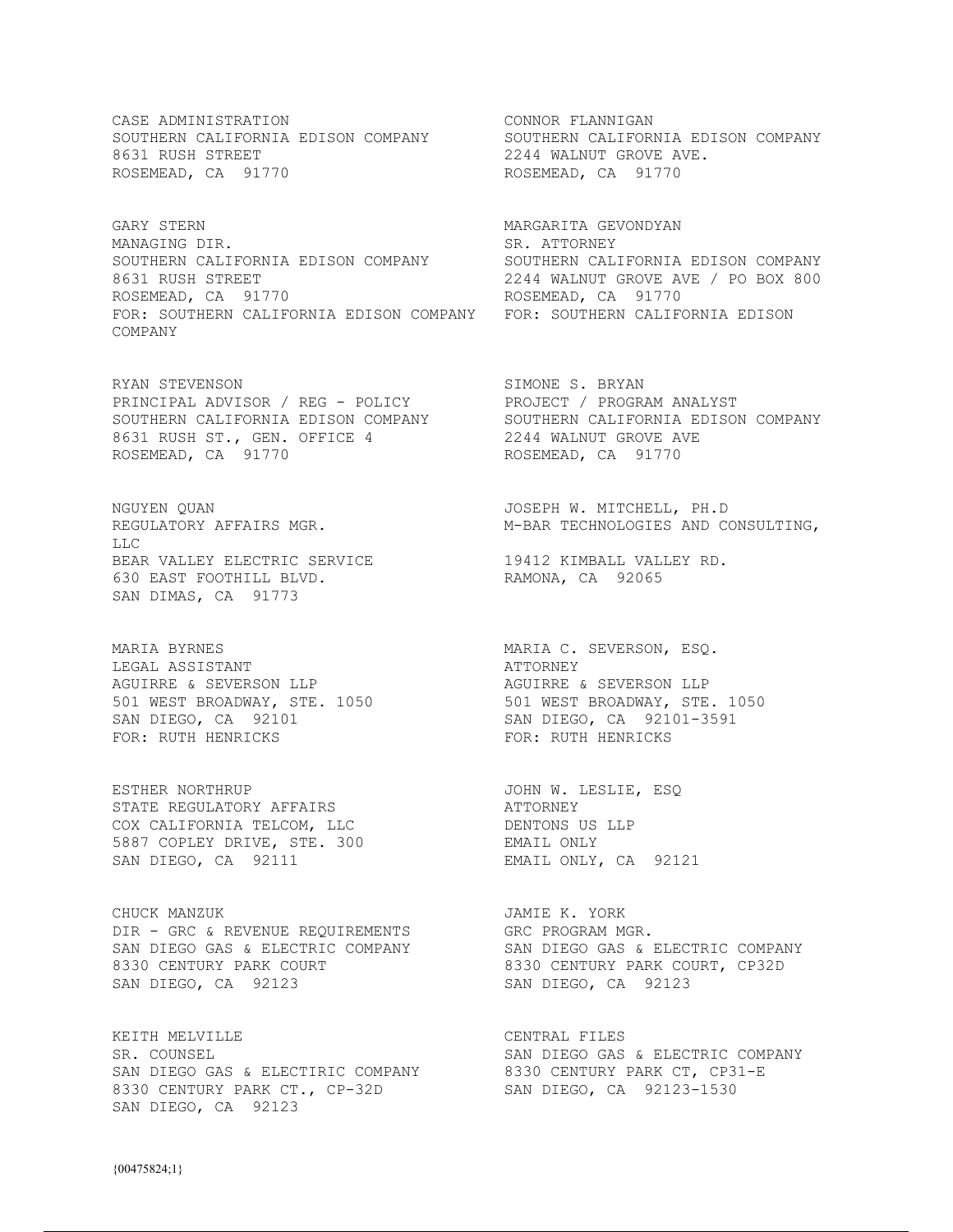CASE ADMINISTRATION **CONNOR FLANNIGAN** SOUTHERN CALIFORNIA EDISON COMPANY SOUTHERN CALIFORNIA EDISON COMPANY 8631 RUSH STREET 2244 WALNUT GROVE AVE. ROSEMEAD, CA 91770 ROSEMEAD, CA 91770

GARY STERN MARGARITA GEVONDYAN MANAGING DIR. SR. ATTORNEY SOUTHERN CALIFORNIA EDISON COMPANY SOUTHERN CALIFORNIA EDISON COMPANY 8631 RUSH STREET 2244 WALNUT GROVE AVE / PO BOX 800 Example 19 and 2244 WALNUT GROVE AT ROSEMEAD, CA 91770 FOR: SOUTHERN CALIFORNIA EDISON COMPANY FOR: SOUTHERN CALIFORNIA EDISON COMPANY

RYAN STEVENSON SIMONE S. BRYAN PRINCIPAL ADVISOR / REG - POLICY PROJECT / PROGRAM ANALYST SOUTHERN CALIFORNIA EDISON COMPANY SOUTHERN CALIFORNIA EDISON COMPANY 8631 RUSH ST., GEN. OFFICE 4 2244 WALNUT GROVE AVE ROSEMEAD, CA 91770 ROSEMEAD, CA 91770

LLC BEAR VALLEY ELECTRIC SERVICE 19412 KIMBALL VALLEY RD. 630 EAST FOOTHILL BLVD. RAMONA, CA 92065 SAN DIMAS, CA 91773

MARIA BYRNES MARIA C. SEVERSON, ESQ. LEGAL ASSISTANT **ATTORNEY** AGUIRRE & SEVERSON LLP AGUIRRE & SEVERSON LLP 501 WEST BROADWAY, STE. 1050 501 WEST BROADWAY, STE. 1050 SAN DIEGO, CA 92101 SAN DIEGO, CA 92101-3591 FOR: RUTH HENRICKS FOR: RUTH HENRICKS

ESTHER NORTHRUP JOHN W. LESLIE, ESQ STATE REGULATORY AFFAIRS **ALL ALL AND ATTORNEY** COX CALIFORNIA TELCOM, LLC DENTONS US LLP 5887 COPLEY DRIVE, STE. 300 EMAIL ONLY SAN DIEGO, CA 92111 EMAIL ONLY, CA 92121

CHUCK MANZUK **JAMIE K. YORK** DIR - GRC & REVENUE REQUIREMENTS GRC PROGRAM MGR. SAN DIEGO GAS & ELECTRIC COMPANY SAN DIEGO GAS & ELECTRIC COMPANY 8330 CENTURY PARK COURT 8330 CENTURY PARK COURT, CP32D SAN DIEGO, CA 92123 SAN DIEGO, CA 92123

KEITH MELVILLE **CENTRAL FILES** SR. COUNSEL SAN DIEGO GAS & ELECTRIC COMPANY SAN DIEGO GAS & ELECTIRIC COMPANY 8330 CENTURY PARK CT, CP31-E 8330 CENTURY PARK CT., CP-32D SAN DIEGO, CA 92123-1530 SAN DIEGO, CA 92123

NGUYEN QUAN JOSEPH W. MITCHELL, PH.D REGULATORY AFFAIRS MGR.  $M-BAR$  TECHNOLOGIES AND CONSULTING,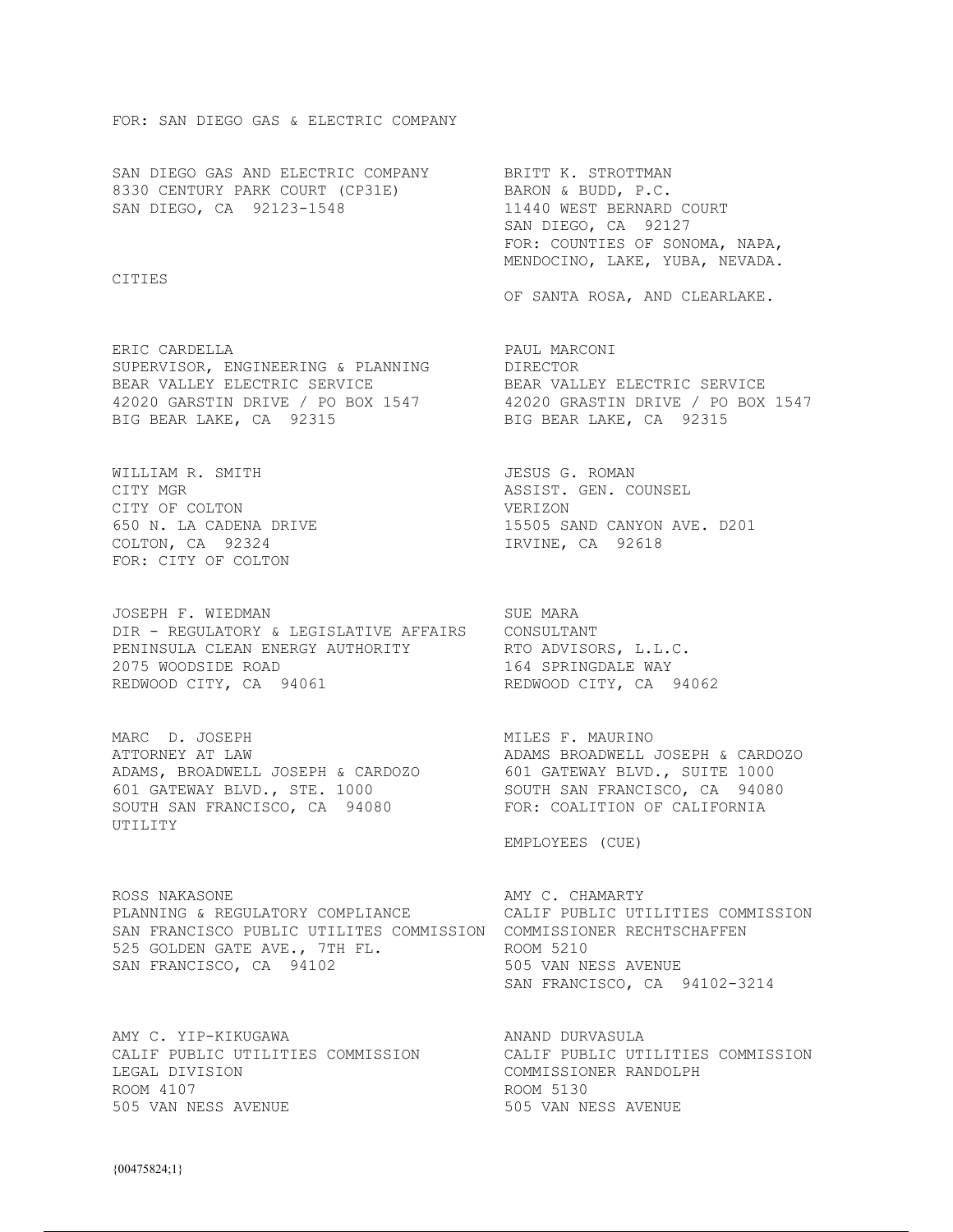### FOR: SAN DIEGO GAS & ELECTRIC COMPANY

SAN DIEGO GAS AND ELECTRIC COMPANY BRITT K. STROTTMAN 8330 CENTURY PARK COURT (CP31E) BARON & BUDD, P.C. SAN DIEGO, CA 92123-1548 11440 WEST BERNARD COURT

CITIES

ERIC CARDELLA **PAUL MARCONI** SUPERVISOR, ENGINEERING & PLANNING DIRECTOR BEAR VALLEY ELECTRIC SERVICE **ELECTRIC SERVICE** BEAR VALLEY ELECTRIC SERVICE 42020 GARSTIN DRIVE / PO BOX 1547 42020 GRASTIN DRIVE / PO BOX 1547 BIG BEAR LAKE, CA 92315 BIG BEAR LAKE, CA 92315

WILLIAM R. SMITH GALL CONDUCTED STATES OF ROMAN CITY MGR ASSIST. GEN. COUNSEL CITY OF COLTON VERIZON COLTON, CA 92324 IRVINE, CA 92618 FOR: CITY OF COLTON

JOSEPH F. WIEDMAN SUE MARA DIR - REGULATORY & LEGISLATIVE AFFAIRS CONSULTANT PENINSULA CLEAN ENERGY AUTHORITY RTO ADVISORS, L.L.C. 2075 WOODSIDE ROAD<br>REDWOOD CITY, CA 94061 164 SPRINGDALE WAY REDWOOD CITY, CA 94061

MARC D. JOSEPH MILES F. MAURINO<br>ATTORNEY AT LAW MERCADONE ADAMS BROADWELL ATTORNEY AT LAW ADAMS BROADWELL JOSEPH & CARDOZO ADAMS, BROADWELL JOSEPH & CARDOZO 601 GATEWAY BLVD., SUITE 1000 601 GATEWAY BLVD., STE. 1000 SOUTH SAN FRANCISCO, CA 94080 SOUTH SAN FRANCISCO, CA 94080 FOR: COALITION OF CALIFORNIA UTILITY

ROSS NAKASONE **AMY C. CHAMARTY** PLANNING & REGULATORY COMPLIANCE CALIF PUBLIC UTILITIES COMMISSION SAN FRANCISCO PUBLIC UTILITES COMMISSION COMMISSIONER RECHTSCHAFFEN 525 GOLDEN GATE AVE., 7TH FL. ROOM 5210 SAN FRANCISCO, CA 94102 505 VAN NESS AVENUE

AMY C. YIP-KIKUGAWA ANAND DURVASULA LEGAL DIVISION COMMISSIONER RANDOLPH ROOM 4107 ROOM 5130 505 VAN NESS AVENUE 505 VAN NESS AVENUE

 SAN DIEGO, CA 92127 FOR: COUNTIES OF SONOMA, NAPA, MENDOCINO, LAKE, YUBA, NEVADA.

OF SANTA ROSA, AND CLEARLAKE.

650 N. LA CADENA DRIVE 15505 SAND CANYON AVE. D201

EMPLOYEES (CUE)

SAN FRANCISCO, CA 94102-3214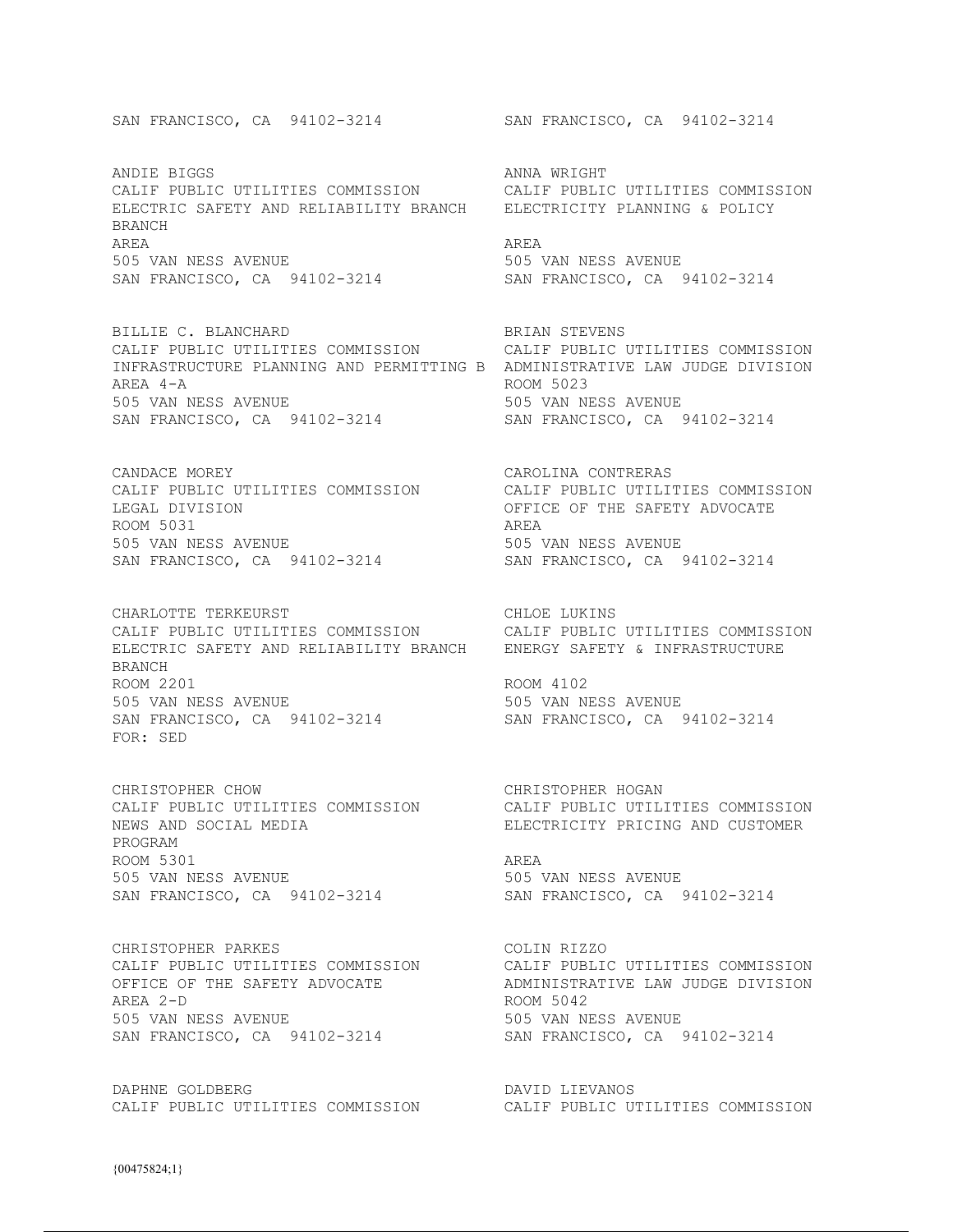ANDIE BIGGS ANNA WRIGHT CALIF PUBLIC UTILITIES COMMISSION CALIF PUBLIC UTILITIES COMMISSION ELECTRIC SAFETY AND RELIABILITY BRANCH ELECTRICITY PLANNING & POLICY BRANCH AREA AREA 505 VAN NESS AVENUE 505 VAN NESS AVENUE SAN FRANCISCO, CA 94102-3214 SAN FRANCISCO, CA 94102-3214

BILLIE C. BLANCHARD BRIAN STEVENS CALIF PUBLIC UTILITIES COMMISSION CALIF PUBLIC UTILITIES COMMISSION INFRASTRUCTURE PLANNING AND PERMITTING B ADMINISTRATIVE LAW JUDGE DIVISION AREA 4-A ROOM 5023 505 VAN NESS AVENUE 505 VAN NESS AVENUE SAN FRANCISCO, CA 94102-3214 SAN FRANCISCO, CA 94102-3214

CANDACE MOREY CAROLINA CONTRERAS LEGAL DIVISION OFFICE OF THE SAFETY ADVOCATE ROOM 5031 AREA 505 VAN NESS AVENUE 505 VAN NESS AVENUE

CHARLOTTE TERKEURST CHARLOTE TERKEURS CALIF PUBLIC UTILITIES COMMISSION CALIF PUBLIC UTILITIES COMMISSION ELECTRIC SAFETY AND RELIABILITY BRANCH ENERGY SAFETY & INFRASTRUCTURE BRANCH ROOM 2201 ROOM 4102 505 VAN NESS AVENUE 505 VAN NESS AVENUE SAN FRANCISCO, CA 94102-3214 SAN FRANCISCO, CA 94102-3214 FOR: SED

CHRISTOPHER CHOW CHRISTOPHER HOGAN NEWS AND SOCIAL MEDIA ELECTRICITY PRICING AND CUSTOMER PROGRAM ROOM 5301 AREA 505 VAN NESS AVENUE 505 VAN NESS AVENUE SAN FRANCISCO, CA 94102-3214 SAN FRANCISCO, CA 94102-3214

CHRISTOPHER PARKES<br>
CALIF PUBLIC UTILITIES COMMISSION CALIF PUBLIC UTILITIES COMMISSION CALIF PUBLIC UTILITIES COMMISSION<br>OFFICE OF THE SAFETY ADVOCATE AREA 2-D ROOM 5042 505 VAN NESS AVENUE 505 VAN NESS AVENUE SAN FRANCISCO, CA 94102-3214 SAN FRANCISCO, CA 94102-3214

DAPHNE GOLDBERG **DAVID LIEVANOS** 

SAN FRANCISCO, CA 94102-3214 SAN FRANCISCO, CA 94102-3214

CALIF PUBLIC UTILITIES COMMISSION CALIF PUBLIC UTILITIES COMMISSION SAN FRANCISCO, CA 94102-3214 SAN FRANCISCO, CA 94102-3214

CALIF PUBLIC UTILITIES COMMISSION CALIF PUBLIC UTILITIES COMMISSION

ADMINISTRATIVE LAW JUDGE DIVISION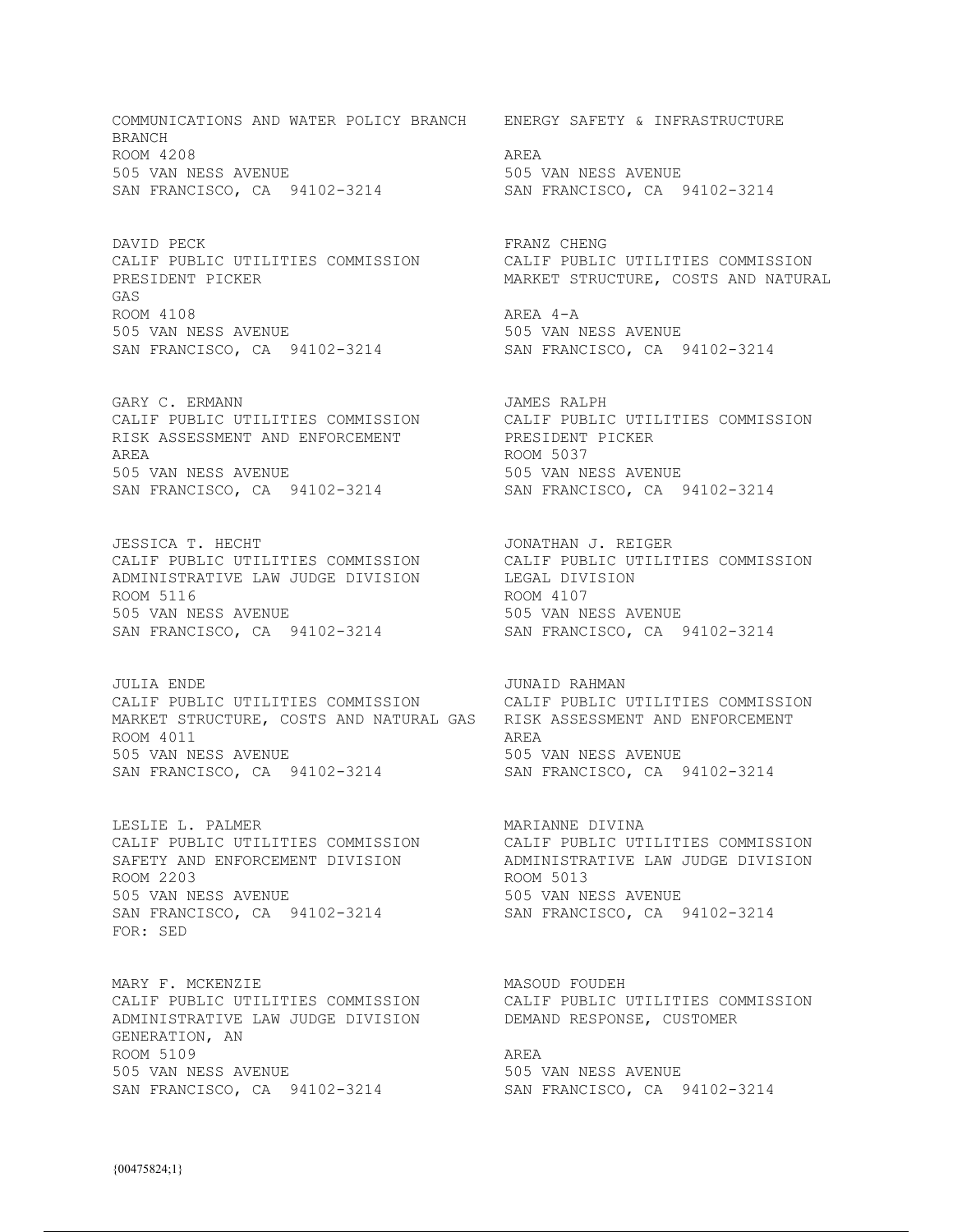COMMUNICATIONS AND WATER POLICY BRANCH ENERGY SAFETY & INFRASTRUCTURE **BRANCH** ROOM 4208 AREA 505 VAN NESS AVENUE 505 VAN NESS AVENUE SAN FRANCISCO, CA 94102-3214 SAN FRANCISCO, CA 94102-3214

DAVID PECK SERAGE RESOLUTION OF PRANZ CHENG PRESIDENT PICKER MARKET STRUCTURE, COSTS AND NATURAL GAS ROOM 4108 AREA 4-A 505 VAN NESS AVENUE 505 VAN NESS AVENUE SAN FRANCISCO, CA 94102-3214 SAN FRANCISCO, CA 94102-3214

GARY C. ERMANN **GARY C. AREA** CALIF PUBLIC UTILITIES COMMISSION CALIF PUBLIC UTILITIES COMMISSION RISK ASSESSMENT AND ENFORCEMENT PRESIDENT PICKER AREA ROOM 5037 505 VAN NESS AVENUE 505 VAN NESS AVENUE SAN FRANCISCO, CA 94102-3214 SAN FRANCISCO, CA 94102-3214

JESSICA T. HECHT **JONATHAN J. REIGER** CALIF PUBLIC UTILITIES COMMISSION CALIF PUBLIC UTILITIES COMMISSION ADMINISTRATIVE LAW JUDGE DIVISION LEGAL DIVISION ROOM 5116 ROOM 4107 505 VAN NESS AVENUE 505 VAN NESS AVENUE SAN FRANCISCO, CA 94102-3214 SAN FRANCISCO, CA 94102-3214

JULIA ENDE JUNAID RAHMAN CALIF PUBLIC UTILITIES COMMISSION CALIF PUBLIC UTILITIES COMMISSION MARKET STRUCTURE, COSTS AND NATURAL GAS RISK ASSESSMENT AND ENFORCEMENT ROOM 4011 AREA 505 VAN NESS AVENUE 505 VAN NESS AVENUE SAN FRANCISCO, CA 94102-3214 SAN FRANCISCO, CA 94102-3214

ROOM 2203 ROOM 5013 505 VAN NESS AVENUE 505 VAN NESS AVENUE SAN FRANCISCO, CA 94102-3214 SAN FRANCISCO, CA 94102-3214 FOR: SED

MARY F. MCKENZIE MASOUD FOUDEH ADMINISTRATIVE LAW JUDGE DIVISION DEMAND RESPONSE, CUSTOMER GENERATION, AN ROOM 5109 AREA 505 VAN NESS AVENUE 505 VAN NESS AVENUE SAN FRANCISCO, CA 94102-3214 SAN FRANCISCO, CA 94102-3214

CALIF PUBLIC UTILITIES COMMISSION CALIF PUBLIC UTILITIES COMMISSION

LESLIE L. PALMER<br>CALIF PUBLIC UTILITIES COMMISSION CALIF PUBLIC UTILITIES COMMISSION<br>SAFETY AND ENFORCEMENT DIVISION ADMINISTRATIVE LAW JUDGE DIVISION CALIF PUBLIC UTILITIES COMMISSION CALIF PUBLIC UTILITIES COMMISSION SAFETY AND ENFORCEMENT DIVISION ADMINISTRATIVE LAW JUDGE DIVISION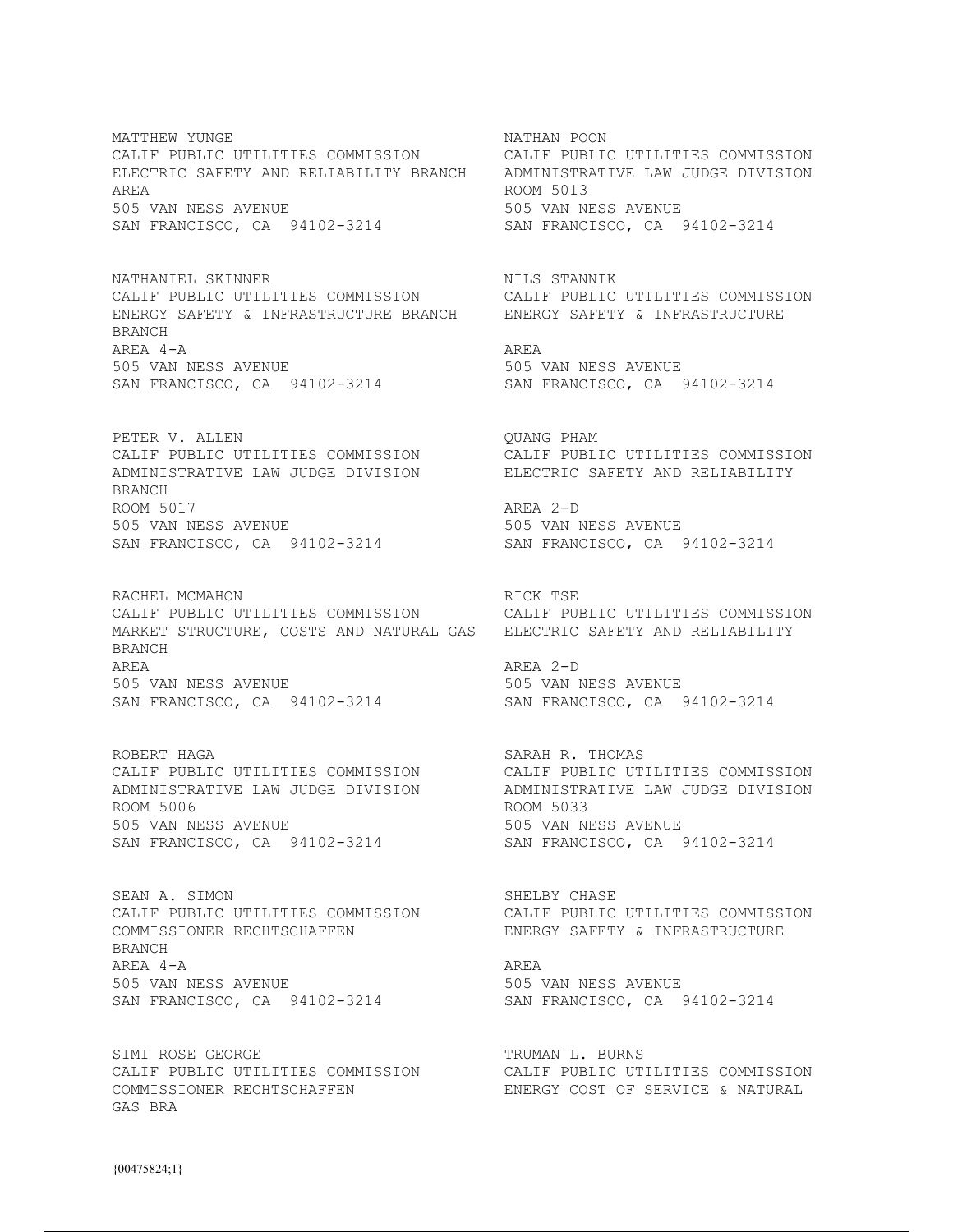MATTHEW YUNGE **NATHAN POON** CALIF PUBLIC UTILITIES COMMISSION CALIF PUBLIC UTILITIES COMMISSION ELECTRIC SAFETY AND RELIABILITY BRANCH ADMINISTRATIVE LAW JUDGE DIVISION AREA ROOM 5013 505 VAN NESS AVENUE 505 VAN NESS AVENUE SAN FRANCISCO, CA 94102-3214 SAN FRANCISCO, CA 94102-3214

NATHANIEL SKINNER NILS STANNIK CALIF PUBLIC UTILITIES COMMISSION CALIF PUBLIC UTILITIES COMMISSION ENERGY SAFETY & INFRASTRUCTURE BRANCH ENERGY SAFETY & INFRASTRUCTURE BRANCH AREA 4-A AREA SAN FRANCISCO, CA 94102-3214

PETER V. ALLEN  $\qquad$  QUANG PHAM ADMINISTRATIVE LAW JUDGE DIVISION ELECTRIC SAFETY AND RELIABILITY BRANCH ROOM 5017 AREA 2-D 505 VAN NESS AVENUE 505 VAN NESS AVENUE SAN FRANCISCO, CA 94102-3214 SAN FRANCISCO, CA 94102-3214

RACHEL MCMAHON **RACHEL MEDIAN RICK** TSE CALIF PUBLIC UTILITIES COMMISSION CALIF PUBLIC UTILITIES COMMISSION MARKET STRUCTURE, COSTS AND NATURAL GAS ELECTRIC SAFETY AND RELIABILITY BRANCH AREA AREA 2-D 505 VAN NESS AVENUE 505 VAN NESS AVENUE SAN FRANCISCO, CA 94102-3214 SAN FRANCISCO, CA 94102-3214

ROBERT HAGA<br>CALIF PUBLIC UTILITIES COMMISSION CALIF PUBLIC UTILITIES COMMISSION CALIF PUBLIC UTILITIES COMMISSION CALIF PUBLIC UTILITIES COMMISSION ADMINISTRATIVE LAW JUDGE DIVISION ADMINISTRATIVE LAW JUDGE DIVISION ROOM 5006 ROOM 5033 505 VAN NESS AVENUE 505 VAN NESS AVENUE SAN FRANCISCO, CA 94102-3214 SAN FRANCISCO, CA 94102-3214

SEAN A. SIMON SEAN AS SHELBY CHASE CALIF PUBLIC UTILITIES COMMISSION<br>COMMISSIONER RECHTSCHAFFEN ENERGY SAFETY & INFRASTRUCTURE BRANCH AREA 4-A AREA 505 VAN NESS AVENUE 505 VAN NESS AVENUE SAN FRANCISCO, CA 94102-3214

SIMI ROSE GEORGE TRUMAN L. BURNS CALIF PUBLIC UTILITIES COMMISSION CALIF PUBLIC UTILITIES COMMISSION COMMISSIONER RECHTSCHAFFEN ENERGY COST OF SERVICE & NATURAL GAS BRA

505 VAN NESS AVENUE<br>SAN FRANCISCO, CA 94102-3214

CALIF PUBLIC UTILITIES COMMISSION CALIF PUBLIC UTILITIES COMMISSION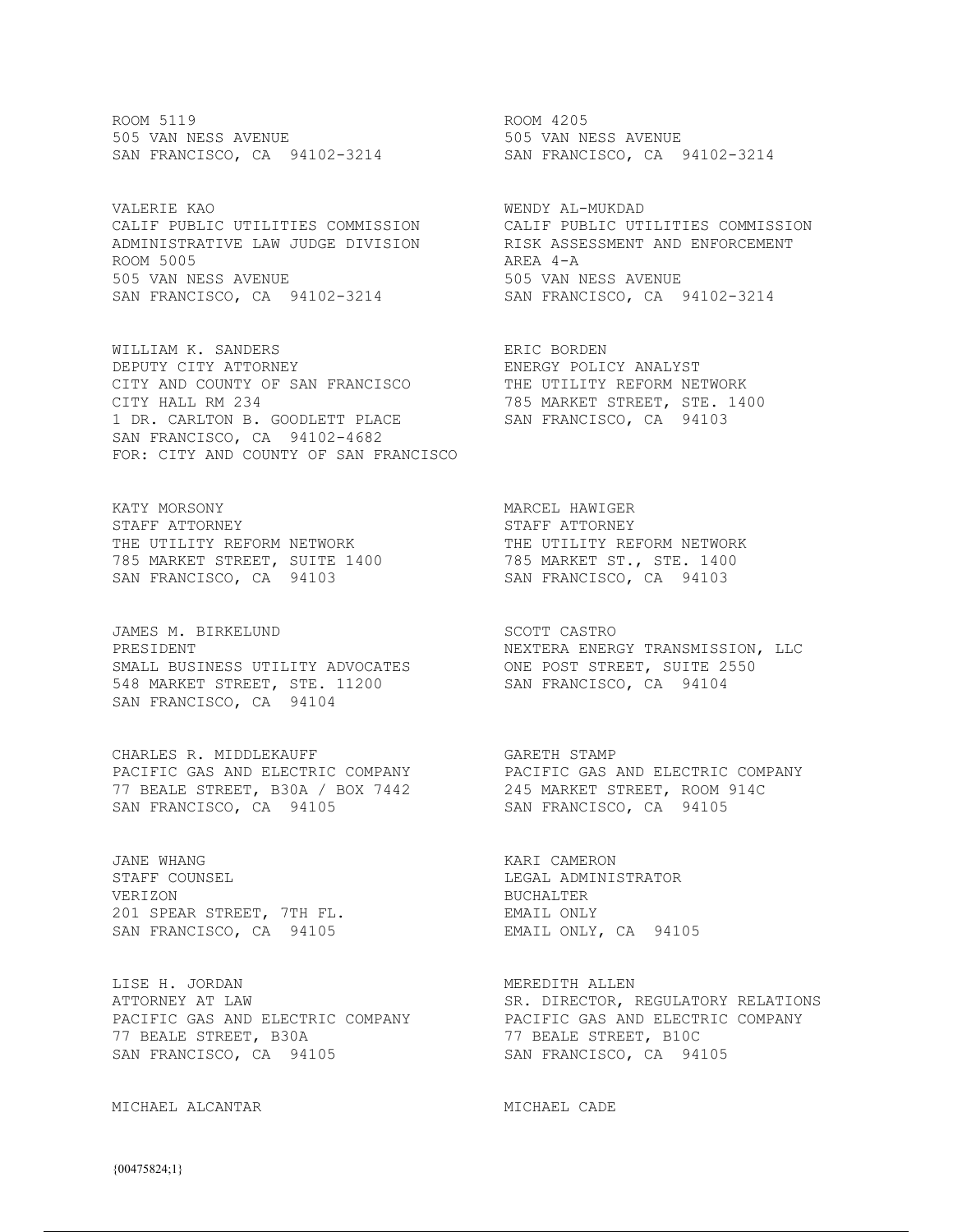ROOM 5119 ROOM 4205 505 VAN NESS AVENUE 505 VAN NESS AVENUE SAN FRANCISCO, CA 94102-3214 SAN FRANCISCO, CA 94102-3214

VALERIE KAO WENDY AL-MUKDAD ADMINISTRATIVE LAW JUDGE DIVISION RISK ASSESSMENT AND ENFORCEMENT ADMINISTRATIVE LAW JUDGE DIVISION RISK ASSESSMENT AND ENFORCEMENT<br>ROOM 5005 AREA 4-A 505 VAN NESS AVENUE 505 VAN NESS AVENUE SAN FRANCISCO, CA 94102-3214 SAN FRANCISCO, CA 94102-3214

WILLIAM K. SANDERS ERIC BORDEN DEPUTY CITY ATTORNEY ENERGY POLICY ANALYST CITY AND COUNTY OF SAN FRANCISCO THE UTILITY REFORM NETWORK CITY HALL RM 234 785 MARKET STREET, STE. 1400 1 DR. CARLTON B. GOODLETT PLACE (100 MARKET STREET, STE.)<br>SAN FRANCISCO, CA 94103 SAN FRANCISCO, CA 94102-4682 FOR: CITY AND COUNTY OF SAN FRANCISCO

KATY MORSONY MARCEL HAWIGER STAFF ATTORNEY **STAFF ATTORNEY** THE UTILITY REFORM NETWORK THE UTILITY REFORM NETWORK 785 MARKET STREET, SUITE 1400 785 MARKET ST., STE. 1400 SAN FRANCISCO, CA 94103 SAN FRANCISCO, CA 94103

JAMES M. BIRKELUND SCOTT CASTRO SMALL BUSINESS UTILITY ADVOCATES ONE POST STREET, SUITE 2550 548 MARKET STREET, STE. 11200 SAN FRANCISCO, CA 94104 SAN FRANCISCO, CA 94104

CHARLES R. MIDDLEKAUFF GARETH STAMP 77 BEALE STREET, B30A / BOX 7442 245 MARKET STREET, ROOM 914C SAN FRANCISCO, CA 94105 SAN FRANCISCO, CA 94105

JANE WHANG KARI CAMERON STAFF COUNSEL **Example 2018** LEGAL ADMINISTRATOR VERIZON BUCHALTER 201 SPEAR STREET, 7TH FL. THE EMAIL ONLY SAN FRANCISCO, CA 94105 EMAIL ONLY, CA 94105

LISE H. JORDAN NEGREDITH ALLEN MEREDITH ALLEN 77 BEALE STREET, B30A 77 BEALE STREET, B10C SAN FRANCISCO, CA 94105 SAN FRANCISCO, CA 94105

MICHAEL ALCANTAR MICHAEL CADE

CALIF PUBLIC UTILITIES COMMISSION CALIF PUBLIC UTILITIES COMMISSION

PRESIDENT NEXTERA ENERGY TRANSMISSION, LLC

PACIFIC GAS AND ELECTRIC COMPANY PACIFIC GAS AND ELECTRIC COMPANY

ATTORNEY AT LAW SALL THE SER. DIRECTOR, REGULATORY RELATIONS PACIFIC GAS AND ELECTRIC COMPANY PACIFIC GAS AND ELECTRIC COMPANY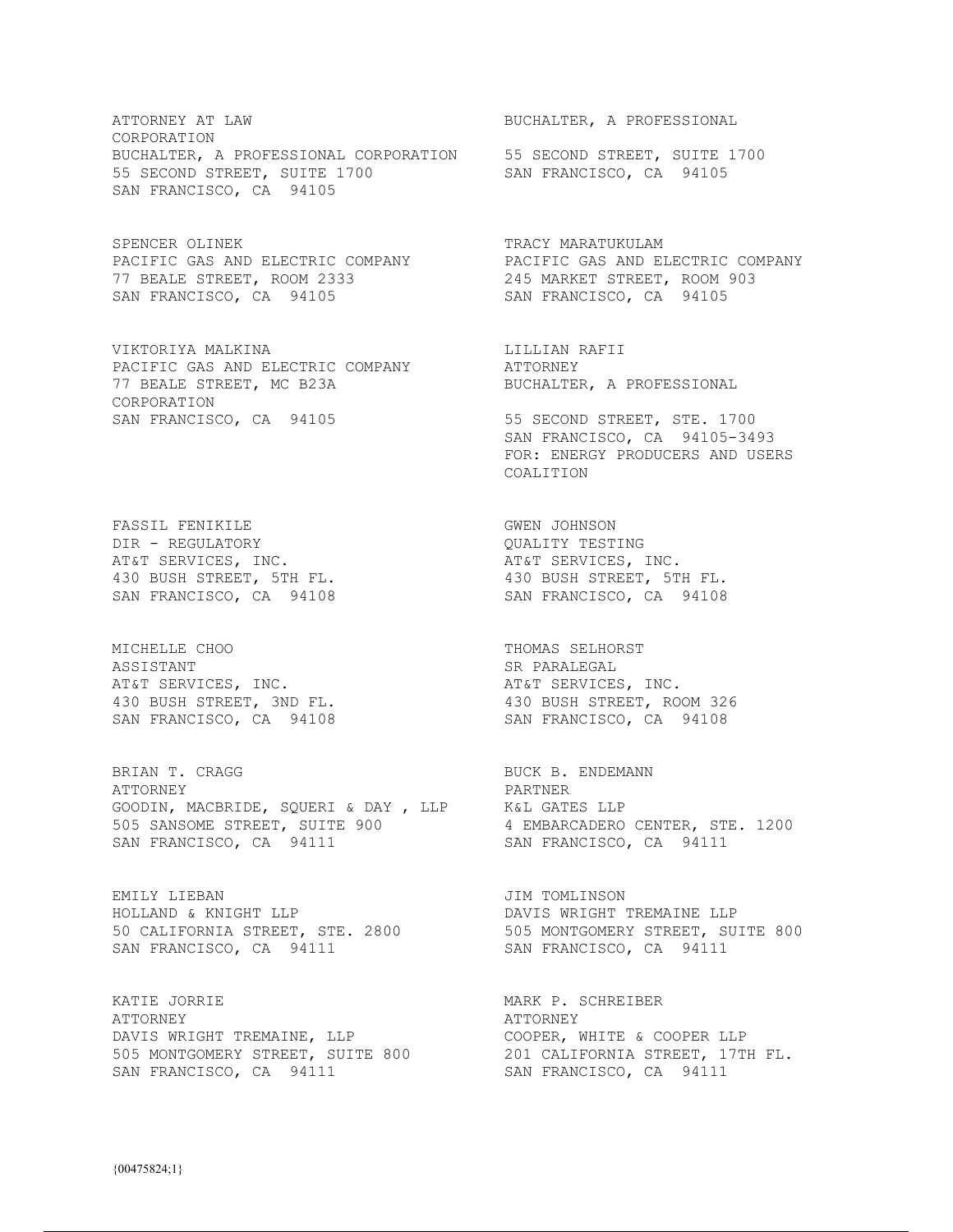ATTORNEY AT LAW BUCHALTER, A PROFESSIONAL CORPORATION BUCHALTER, A PROFESSIONAL CORPORATION 55 SECOND STREET, SUITE 1700 55 SECOND STREET, SUITE 1700 SAN FRANCISCO, CA 94105 SAN FRANCISCO, CA 94105

SPENCER OLINEK TRACY MARATUKULAM 77 BEALE STREET, ROOM 2333 245 MARKET STREET, ROOM 903 SAN FRANCISCO, CA 94105 SAN FRANCISCO, CA 94105

VIKTORIYA MALKINA LILLIAN RAFII PACIFIC GAS AND ELECTRIC COMPANY ATTORNEY 77 BEALE STREET, MC B23A BUCHALTER, A PROFESSIONAL CORPORATION SAN FRANCISCO, CA 94105 55 SECOND STREET, STE. 1700

FASSIL FENIKILE GWEN JOHNSON DIR - REGULATORY QUALITY TESTING AT&T SERVICES, INC. THE SERVICES, INC.

MICHELLE CHOO THOMAS SELHORST ASSISTANT SR PARALEGAL AT&T SERVICES, INC. THE RESERVICES, INC.

BRIAN T. CRAGG BUCK B. ENDEMANN ATTORNEY PARTNER GOODIN, MACBRIDE, SQUERI & DAY , LLP K&L GATES LLP 505 SANSOME STREET, SUITE 900 4 EMBARCADERO CENTER, STE. 1200 SAN FRANCISCO, CA 94111 SAN FRANCISCO, CA 94111

EMILY LIEBAN JIM TOMLINSON HOLLAND & KNIGHT LLP DAVIS WRIGHT TREMAINE LLP SAN FRANCISCO, CA 94111 SAN FRANCISCO, CA 94111

KATIE JORRIE MARK P. SCHREIBER MARK P. SCHREIBER ATTORNEY ATTORNEY THE SERIES OF THE SERIES AT A PROPERTY DAVIS WRIGHT TREMAINE, LLP COOPER, WHITE & COOPER LLP 505 MONTGOMERY STREET, SUITE 800 201 CALIFORNIA STREET, 17TH FL. SAN FRANCISCO, CA 94111 SAN FRANCISCO, CA 94111

PACIFIC GAS AND ELECTRIC COMPANY PACIFIC GAS AND ELECTRIC COMPANY

 SAN FRANCISCO, CA 94105-3493 FOR: ENERGY PRODUCERS AND USERS COALITION

430 BUSH STREET, 5TH FL. 430 BUSH STREET, 5TH FL. SAN FRANCISCO, CA 94108 SAN FRANCISCO, CA 94108

430 BUSH STREET, 3ND FL. 430 BUSH STREET, ROOM 326 SAN FRANCISCO, CA 94108 SAN FRANCISCO, CA 94108

50 CALIFORNIA STREET, STE. 2800 505 MONTGOMERY STREET, SUITE 800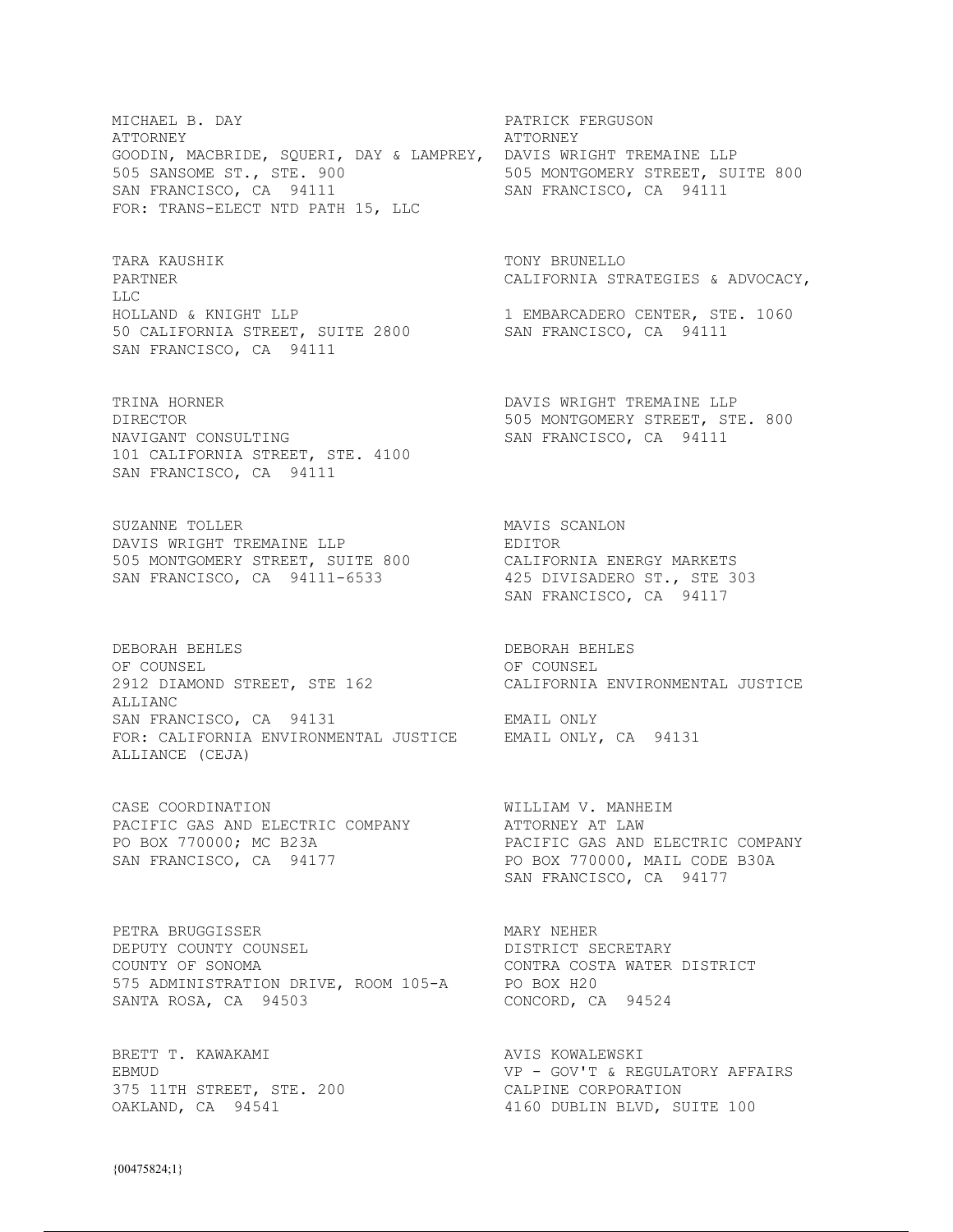MICHAEL B. DAY **PATRICK FERGUSON** ATTORNEY ATTORNEY GOODIN, MACBRIDE, SQUERI, DAY & LAMPREY, DAVIS WRIGHT TREMAINE LLP 505 SANSOME ST., STE. 900 505 MONTGOMERY STREET, SUITE 800 SAN FRANCISCO, CA 94111 SAN FRANCISCO, CA 94111 FOR: TRANS-ELECT NTD PATH 15, LLC

TARA KAUSHIK TONY BRUNELLO LLC HOLLAND & KNIGHT LLP 1 EMBARCADERO CENTER, STE. 1060 50 CALIFORNIA STREET, SUITE 2800 SAN FRANCISCO, CA 94111 SAN FRANCISCO, CA 94111

TRINA HORNER **DAVIS WRIGHT TREMAINE LLP** DIRECTOR 505 MONTGOMERY STREET, STE. 800 NAVIGANT CONSULTING SAN FRANCISCO, CA 94111 NAVIGANT CONSULTING 101 CALIFORNIA STREET, STE. 4100 SAN FRANCISCO, CA 94111

SUZANNE TOLLER MAVIS SCANLON DAVIS WRIGHT TREMAINE LLP FREMAINE EDITOR 505 MONTGOMERY STREET, SUITE 800 CALIFORNIA ENERGY MARKETS SAN FRANCISCO, CA 94111-6533 425 DIVISADERO ST., STE 303

DEBORAH BEHLES DEBORAH BEHLES OF COUNSEL COUNSEL 2912 DIAMOND STREET, STE 162 CALIFORNIA ENVIRONMENTAL JUSTICE ALLIANC SAN FRANCISCO, CA 94131 EMAIL ONLY FOR: CALIFORNIA ENVIRONMENTAL JUSTICE EMAIL ONLY, CA 94131 ALLIANCE (CEJA)

CASE COORDINATION WILLIAM V. MANHEIM PACIFIC GAS AND ELECTRIC COMPANY ATTORNEY AT LAW SAN FRANCISCO, CA 94177 PO BOX 770000, MAIL CODE B30A

PETRA BRUGGISSER MARY NEHER MARY NEHER DEPUTY COUNTY COUNSEL DEPUTY COUNTY COUNSEL COUNTY OF SONOMA CONTRA COSTA WATER DISTRICT 575 ADMINISTRATION DRIVE, ROOM 105-A PO BOX H20 SANTA ROSA, CA 94503 CONCORD, CA 94524

BRETT T. KAWAKAMI AVIS KOWALEWSKI 375 11TH STREET, STE. 200 CALPINE CORPORATION

PARTNER CALIFORNIA STRATEGIES & ADVOCACY,

SAN FRANCISCO, CA 94117

PO BOX 770000; MC B23A PACIFIC GAS AND ELECTRIC COMPANY SAN FRANCISCO, CA 94177

EBMUD SERUATORY AFFAIRS SERUATORY AFFAIRS 4160 DUBLIN BLVD, SUITE 100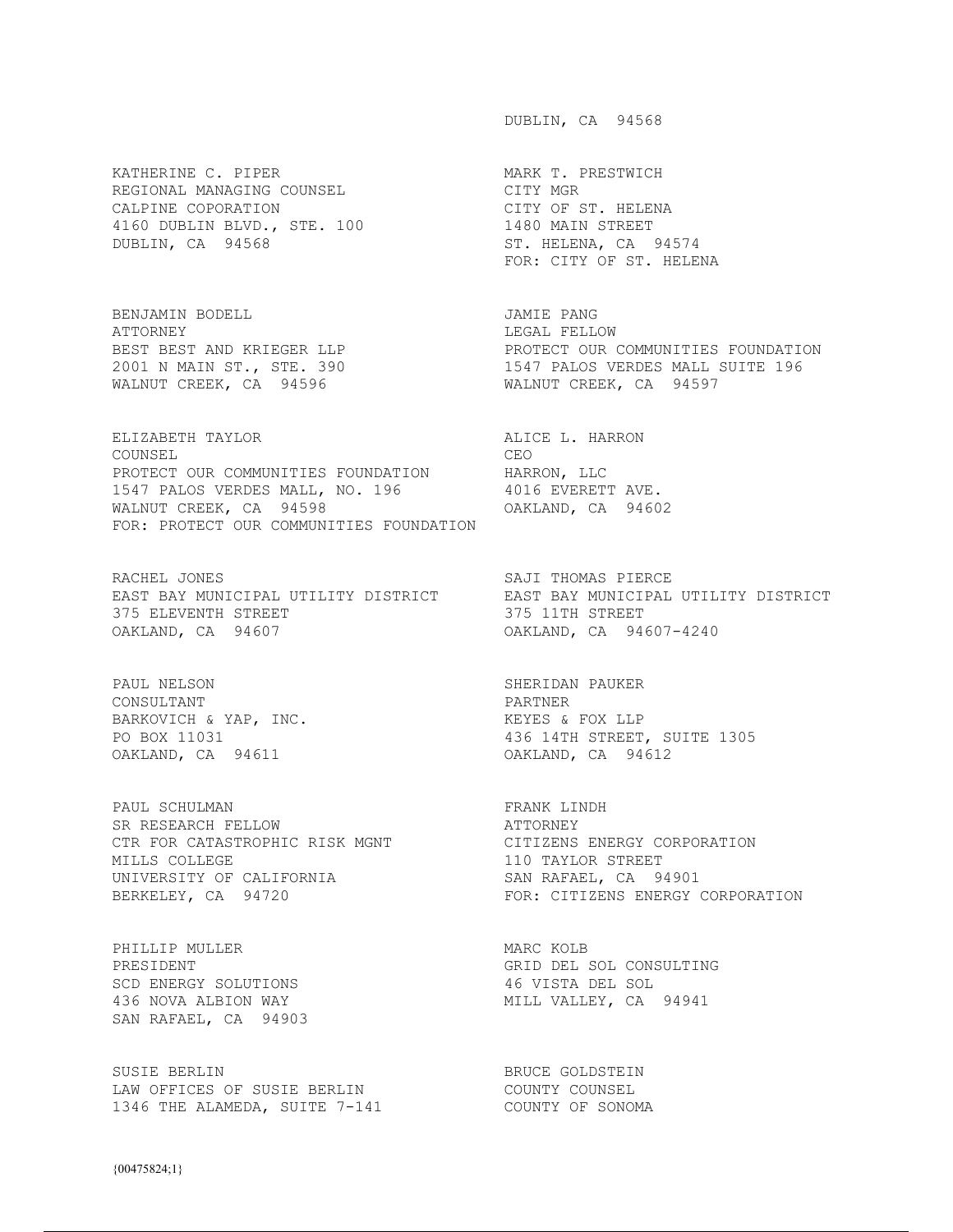KATHERINE C. PIPER MARK T. PRESTWICH REGIONAL MANAGING COUNSEL CITY MGR CALPINE COPORATION CITY OF ST. HELENA 4160 DUBLIN BLVD., STE. 100 1480 MAIN STREET DUBLIN, CA 94568 ST. HELENA, CA 94574

BENJAMIN BODELL JAMIE PANG ATTORNEY LEGAL FELLOW

ELIZABETH TAYLOR **ALICE L. HARRON** COUNSEL CEO PROTECT OUR COMMUNITIES FOUNDATION HARRON, LLC 1547 PALOS VERDES MALL, NO. 196 4016 EVERETT AVE. WALNUT CREEK, CA 94598 OAKLAND, CA 94602 FOR: PROTECT OUR COMMUNITIES FOUNDATION

RACHEL JONES SAJI THOMAS PIERCE EAST BAY MUNICIPAL UTILITY DISTRICT EAST BAY MUNICIPAL UTILITY DISTRICT 375 ELEVENTH STREET 375 11TH STREET OAKLAND, CA 94607 OAKLAND, CA 94607-4240

PAUL NELSON SHERIDAN PAUKER CONSULTANT PARTNER BARKOVICH & YAP, INC. The Mathematic Section of the MEYES & FOX LLP OAKLAND, CA 94611 OAKLAND, CA 94612

PAUL SCHULMAN **FRANK LINDH** SR RESEARCH FELLOW ATTORNEY CTR FOR CATASTROPHIC RISK MGNT CITIZENS ENERGY CORPORATION MILLS COLLEGE **110 TAYLOR STREET** UNIVERSITY OF CALIFORNIA SAN RAFAEL, CA 94901

PHILLIP MULLER MARC KOLB SCD ENERGY SOLUTIONS SAN RAFAEL, CA 94903

SUSIE BERLIN BRUCE GOLDSTEIN LAW OFFICES OF SUSIE BERLIN COUNTY COUNSEL 1346 THE ALAMEDA, SUITE 7-141 COUNTY OF SONOMA

DUBLIN, CA 94568

FOR: CITY OF ST. HELENA

BEST BEST AND KRIEGER LLP PROTECT OUR COMMUNITIES FOUNDATION 2001 N MAIN ST., STE. 390 1547 PALOS VERDES MALL SUITE 196 WALNUT CREEK, CA 94596 WALNUT CREEK, CA 94597

PO BOX 11031 436 14TH STREET, SUITE 1305

BERKELEY, CA 94720 **FOR: CITIZENS ENERGY CORPORATION** 

PRESIDENT GRID DEL SOL CONSULTING SCD ENERGY SOLUTIONS AS A SERIE AND MALL SOL CONSULTING SCD ENERGY SOLUTIONS 436 NOVA ALBION WAY MILL VALLEY, CA 94941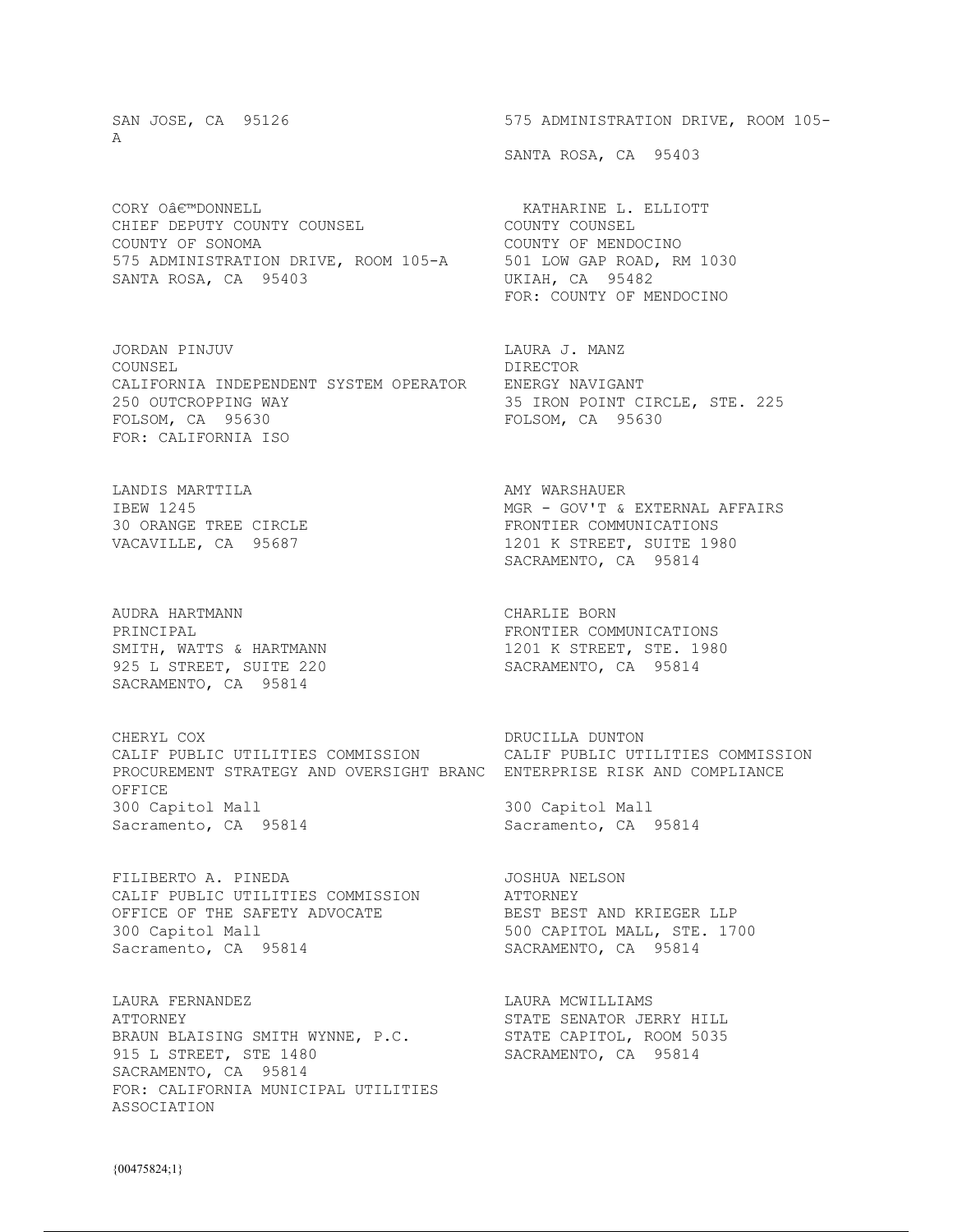$\Delta$ 

CHIEF DEPUTY COUNTY COUNSEL COUNTY COUNTY COUNSEL COUNTY OF SONOMA COUNTY OF MENDOCINO 575 ADMINISTRATION DRIVE, ROOM 105-A 501 LOW GAP ROAD, RM 1030 SANTA ROSA, CA 95403 UKIAH, CA 95482

JORDAN PINJUV LAURA J. MANZ COUNSEL DIRECTOR CALIFORNIA INDEPENDENT SYSTEM OPERATOR ENERGY NAVIGANT 250 OUTCROPPING WAY 35 IRON POINT CIRCLE, STE. 225 FOLSOM, CA 95630 FOLSOM, CA 95630 FOR: CALIFORNIA ISO

LANDIS MARTTILA AMY WARSHAUER

AUDRA HARTMANN CHARLIE BORN 925 L STREET, SUITE 220 SACRAMENTO, CA 95814

CHERYL COX **DRUCILLA DUNTON** CALIF PUBLIC UTILITIES COMMISSION CALIF PUBLIC UTILITIES COMMISSION PROCUREMENT STRATEGY AND OVERSIGHT BRANC ENTERPRISE RISK AND COMPLIANCE OFFICE 300 Capitol Mall 300 Capitol Mall Sacramento, CA 95814 Sacramento, CA 95814

FILIBERTO A. PINEDA JOSHUA NELSON CALIF PUBLIC UTILITIES COMMISSION ATTORNEY OFFICE OF THE SAFETY ADVOCATE **BEST BEST AND KRIEGER LLP** 300 Capitol Mall 500 CAPITOL MALL, STE. 1700 Sacramento, CA 95814 SACRAMENTO, CA 95814

LAURA FERNANDEZ **LAURA MERIAN EN ELAURA MENELLIAMS** ATTORNEY STATE SENATOR JERRY HILL BRAUN BLAISING SMITH WYNNE, P.C. STATE CAPITOL, ROOM 5035 915 L STREET, STE 1480 SACRAMENTO, CA 95814 SACRAMENTO, CA 95814 FOR: CALIFORNIA MUNICIPAL UTILITIES ASSOCIATION

SAN JOSE, CA 95126 675 ADMINISTRATION DRIVE, ROOM 105-

SANTA ROSA, CA 95403

CORY O€™DONNELL **ELLIOTT** FOR: COUNTY OF MENDOCINO

MGR - GOV'T & EXTERNAL AFFAIRS 30 ORANGE TREE CIRCLE **FRONTIER** COMMUNICATIONS VACAVILLE, CA 95687 1201 K STREET, SUITE 1980 SACRAMENTO, CA 95814

PRINCIPAL **FRONTIER COMMUNICATIONS** SMITH, WATTS & HARTMANN<br>925 L STREET, SUITE 220 SACRAMENTO, CA 95814